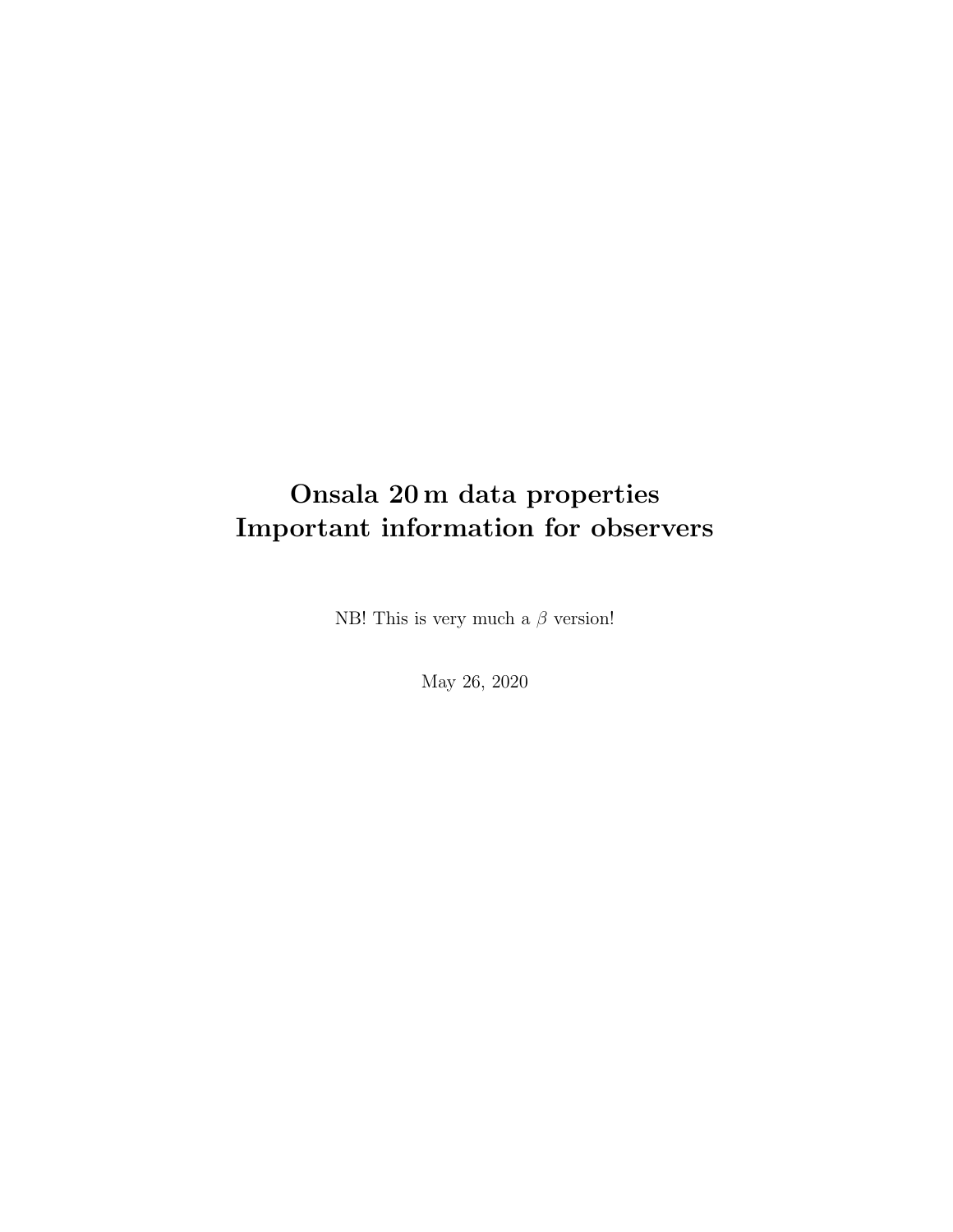## Onsala 20 m data properties Important information for observers

NB! This is very much a  $\beta$  version!

May 26, 2020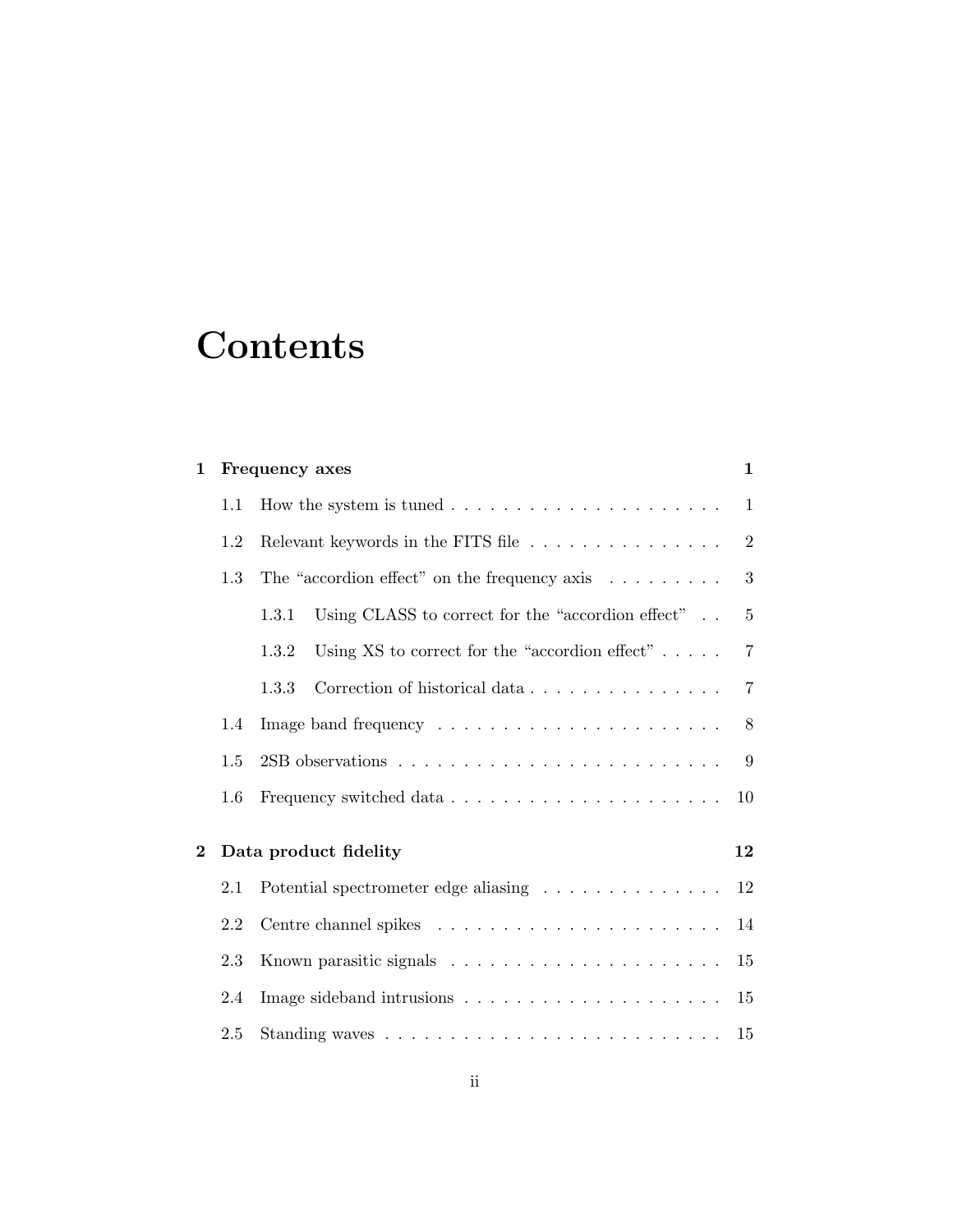# **Contents**

| $\mathbf 1$ |     | Frequency axes                                                      | $\mathbf{1}$   |
|-------------|-----|---------------------------------------------------------------------|----------------|
|             | 1.1 |                                                                     | $\mathbf{1}$   |
|             | 1.2 | Relevant keywords in the FITS file                                  | $\overline{2}$ |
|             | 1.3 | The "accordion effect" on the frequency axis $\dots \dots$          | $\sqrt{3}$     |
|             |     | Using CLASS to correct for the "accordion effect" $\ldots$<br>1.3.1 | $\overline{5}$ |
|             |     | Using XS to correct for the "accordion effect" $\dots$ .<br>1.3.2   | $\overline{7}$ |
|             |     | Correction of historical data<br>1.3.3                              | $\overline{7}$ |
|             | 1.4 |                                                                     | 8              |
|             | 1.5 |                                                                     | 9              |
|             | 1.6 |                                                                     | 10             |
| $\bf{2}$    |     | Data product fidelity                                               | 12             |
|             | 2.1 | Potential spectrometer edge aliasing                                | 12             |
|             | 2.2 |                                                                     | 14             |
|             | 2.3 |                                                                     | 15             |
|             | 2.4 |                                                                     | 15             |
|             | 2.5 |                                                                     | 15             |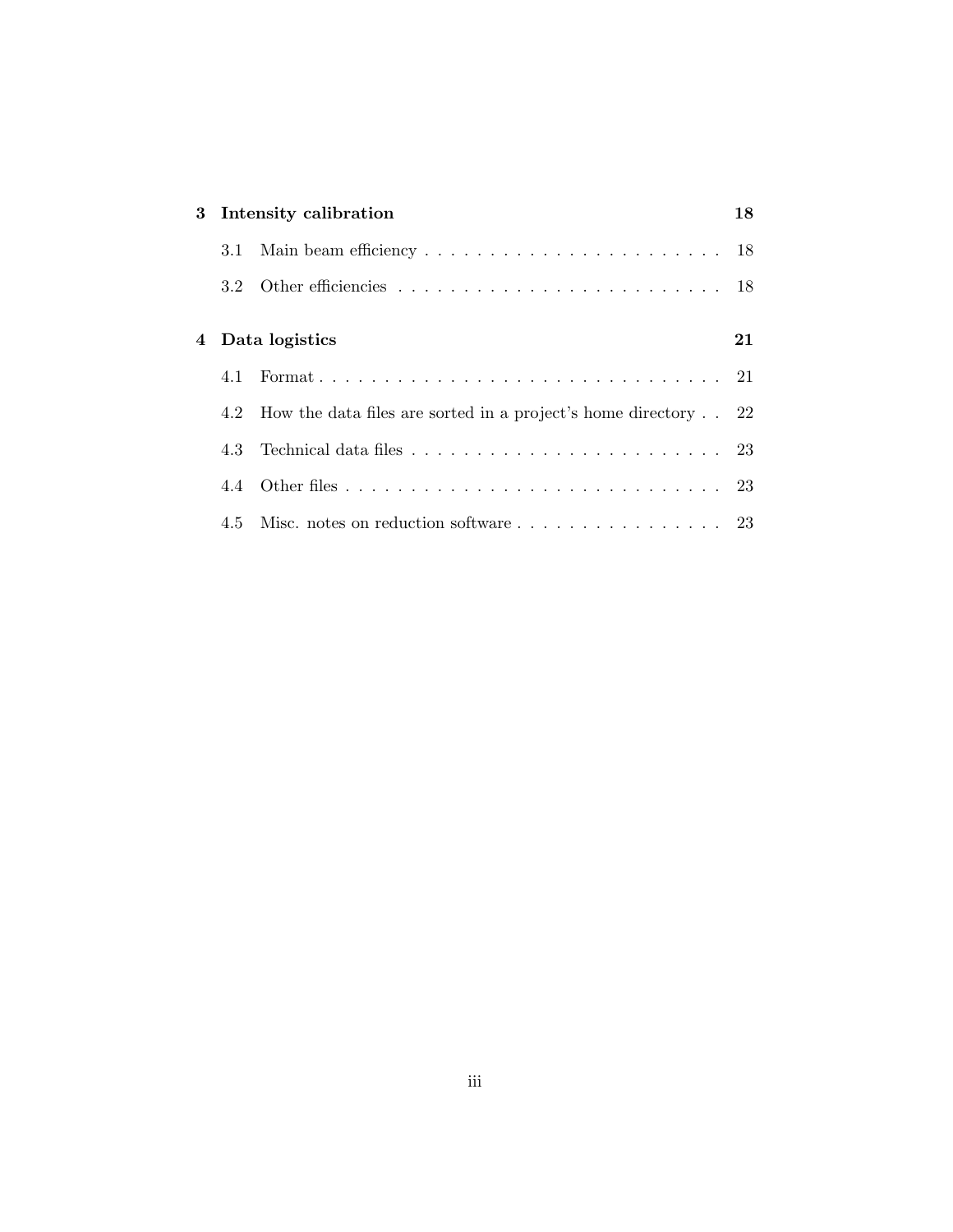|     | 3 Intensity calibration                                                           |  |  |
|-----|-----------------------------------------------------------------------------------|--|--|
| 3.1 |                                                                                   |  |  |
|     |                                                                                   |  |  |
|     |                                                                                   |  |  |
|     | 4 Data logistics                                                                  |  |  |
| 4.1 |                                                                                   |  |  |
|     | 4.2 How the data files are sorted in a project's home directory 22                |  |  |
| 4.3 | Technical data files $\ldots \ldots \ldots \ldots \ldots \ldots \ldots \ldots 23$ |  |  |
|     |                                                                                   |  |  |
|     |                                                                                   |  |  |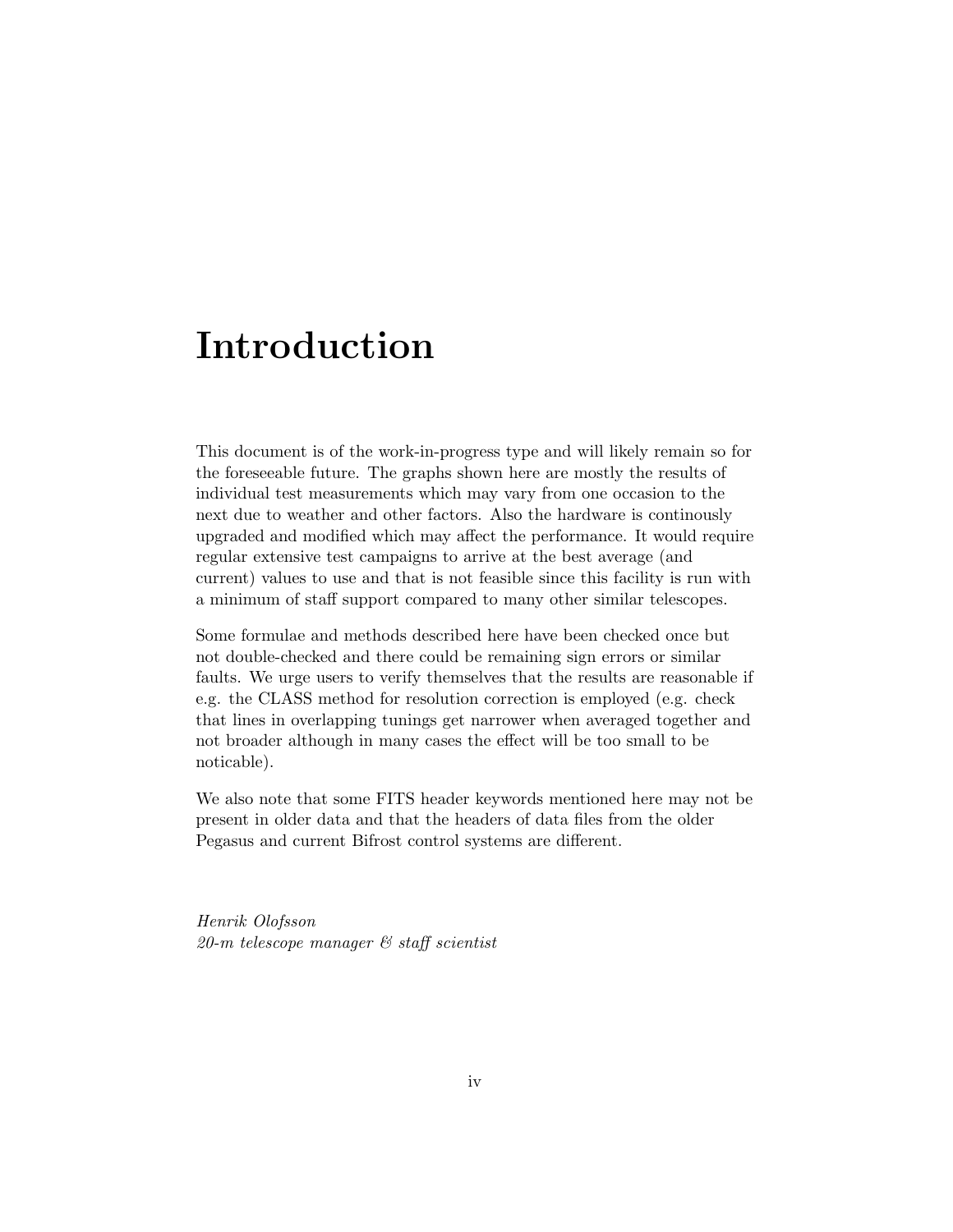## Introduction

This document is of the work-in-progress type and will likely remain so for the foreseeable future. The graphs shown here are mostly the results of individual test measurements which may vary from one occasion to the next due to weather and other factors. Also the hardware is continously upgraded and modified which may affect the performance. It would require regular extensive test campaigns to arrive at the best average (and current) values to use and that is not feasible since this facility is run with a minimum of staff support compared to many other similar telescopes.

Some formulae and methods described here have been checked once but not double-checked and there could be remaining sign errors or similar faults. We urge users to verify themselves that the results are reasonable if e.g. the CLASS method for resolution correction is employed (e.g. check that lines in overlapping tunings get narrower when averaged together and not broader although in many cases the effect will be too small to be noticable).

We also note that some FITS header keywords mentioned here may not be present in older data and that the headers of data files from the older Pegasus and current Bifrost control systems are different.

Henrik Olofsson 20-m telescope manager & staff scientist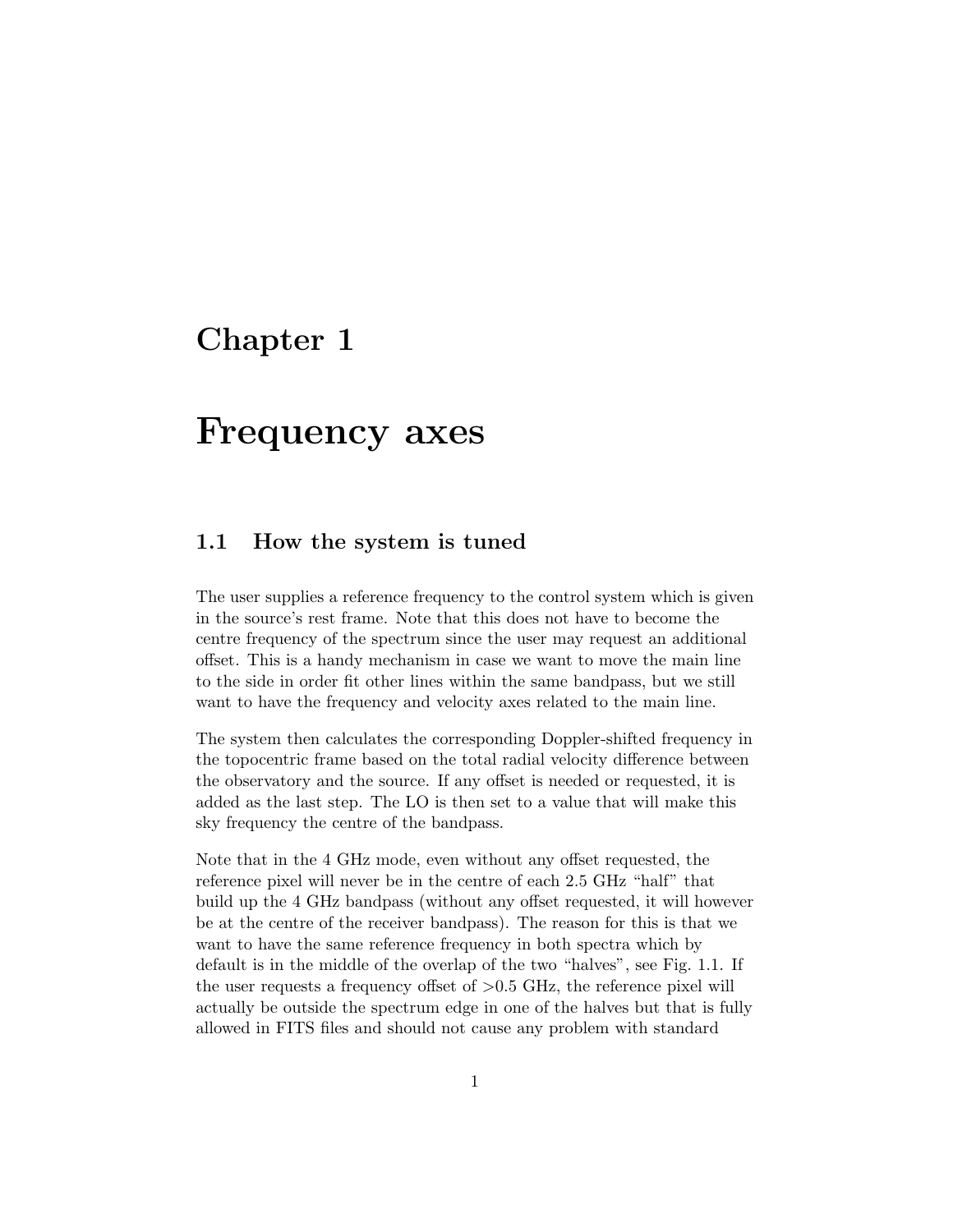## Chapter 1

## Frequency axes

#### 1.1 How the system is tuned

The user supplies a reference frequency to the control system which is given in the source's rest frame. Note that this does not have to become the centre frequency of the spectrum since the user may request an additional offset. This is a handy mechanism in case we want to move the main line to the side in order fit other lines within the same bandpass, but we still want to have the frequency and velocity axes related to the main line.

The system then calculates the corresponding Doppler-shifted frequency in the topocentric frame based on the total radial velocity difference between the observatory and the source. If any offset is needed or requested, it is added as the last step. The LO is then set to a value that will make this sky frequency the centre of the bandpass.

Note that in the 4 GHz mode, even without any offset requested, the reference pixel will never be in the centre of each 2.5 GHz "half" that build up the 4 GHz bandpass (without any offset requested, it will however be at the centre of the receiver bandpass). The reason for this is that we want to have the same reference frequency in both spectra which by default is in the middle of the overlap of the two "halves", see Fig. 1.1. If the user requests a frequency offset of  $>0.5$  GHz, the reference pixel will actually be outside the spectrum edge in one of the halves but that is fully allowed in FITS files and should not cause any problem with standard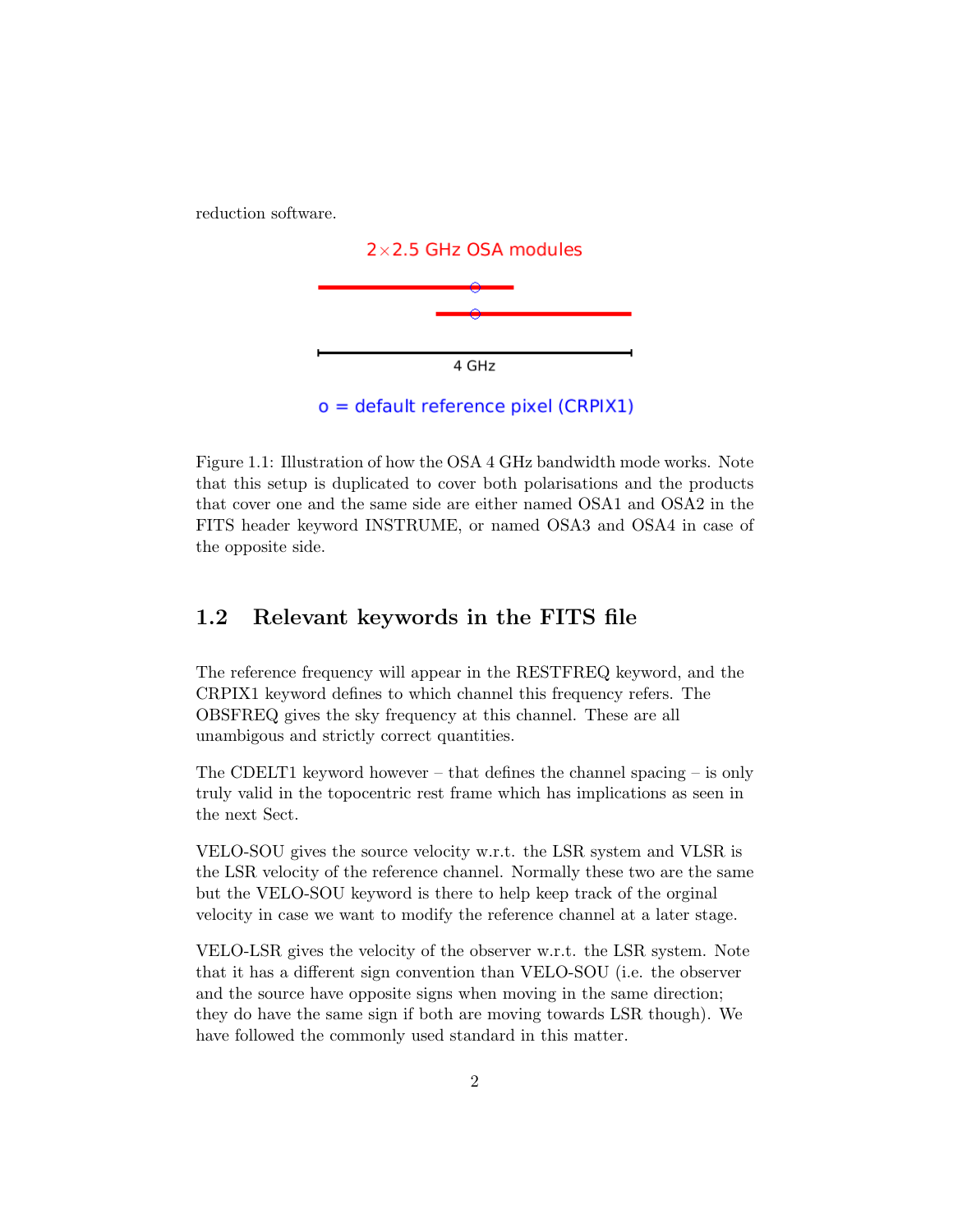reduction software.



 $o =$  default reference pixel (CRPIX1)

Figure 1.1: Illustration of how the OSA 4 GHz bandwidth mode works. Note that this setup is duplicated to cover both polarisations and the products that cover one and the same side are either named OSA1 and OSA2 in the FITS header keyword INSTRUME, or named OSA3 and OSA4 in case of the opposite side.

#### 1.2 Relevant keywords in the FITS file

The reference frequency will appear in the RESTFREQ keyword, and the CRPIX1 keyword defines to which channel this frequency refers. The OBSFREQ gives the sky frequency at this channel. These are all unambigous and strictly correct quantities.

The CDELT1 keyword however – that defines the channel spacing – is only truly valid in the topocentric rest frame which has implications as seen in the next Sect.

VELO-SOU gives the source velocity w.r.t. the LSR system and VLSR is the LSR velocity of the reference channel. Normally these two are the same but the VELO-SOU keyword is there to help keep track of the orginal velocity in case we want to modify the reference channel at a later stage.

VELO-LSR gives the velocity of the observer w.r.t. the LSR system. Note that it has a different sign convention than VELO-SOU (i.e. the observer and the source have opposite signs when moving in the same direction; they do have the same sign if both are moving towards LSR though). We have followed the commonly used standard in this matter.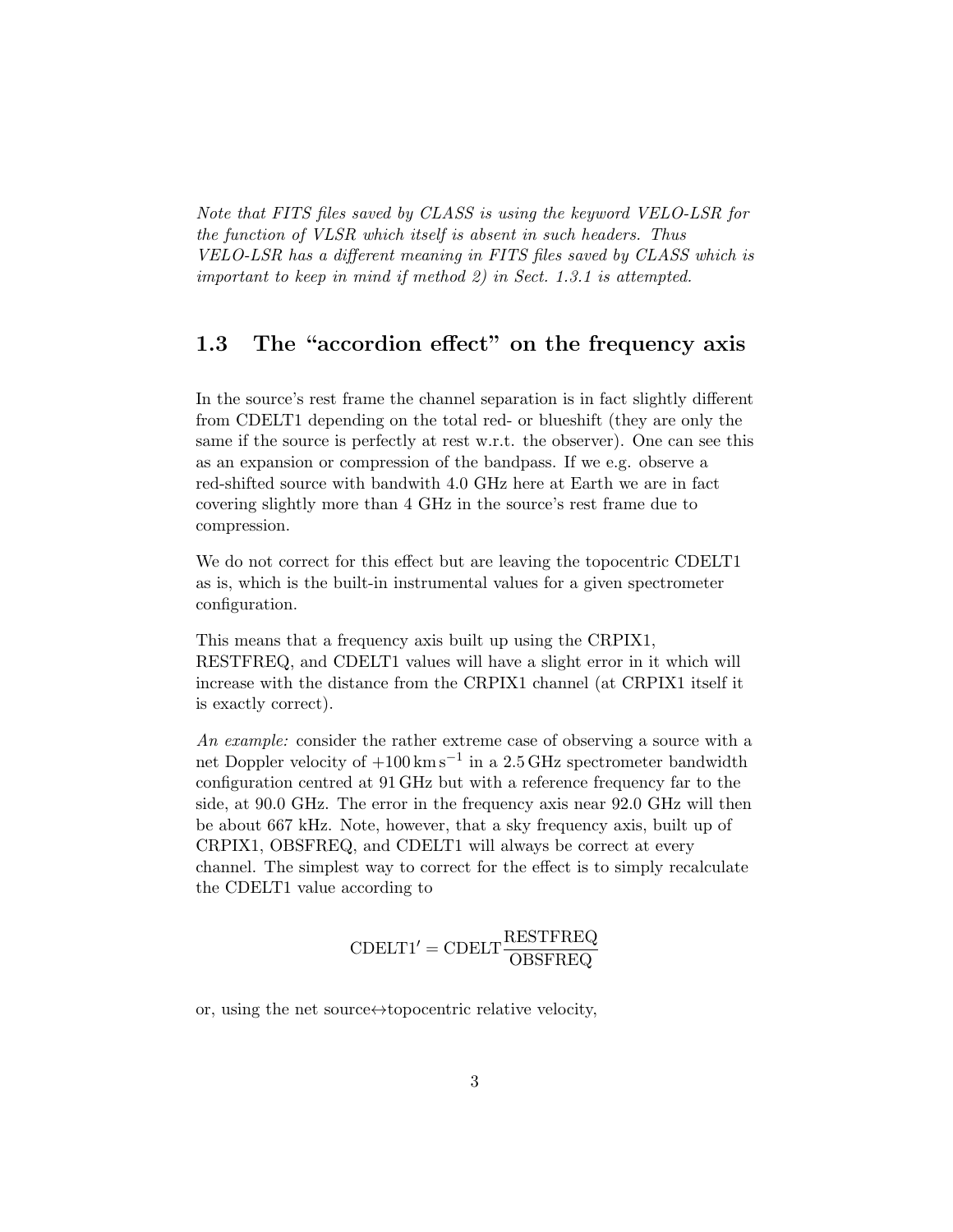Note that FITS files saved by CLASS is using the keyword VELO-LSR for the function of VLSR which itself is absent in such headers. Thus VELO-LSR has a different meaning in FITS files saved by CLASS which is important to keep in mind if method 2) in Sect. 1.3.1 is attempted.

### 1.3 The "accordion effect" on the frequency axis

In the source's rest frame the channel separation is in fact slightly different from CDELT1 depending on the total red- or blueshift (they are only the same if the source is perfectly at rest w.r.t. the observer). One can see this as an expansion or compression of the bandpass. If we e.g. observe a red-shifted source with bandwith 4.0 GHz here at Earth we are in fact covering slightly more than 4 GHz in the source's rest frame due to compression.

We do not correct for this effect but are leaving the topocentric CDELT1 as is, which is the built-in instrumental values for a given spectrometer configuration.

This means that a frequency axis built up using the CRPIX1, RESTFREQ, and CDELT1 values will have a slight error in it which will increase with the distance from the CRPIX1 channel (at CRPIX1 itself it is exactly correct).

An example: consider the rather extreme case of observing a source with a net Doppler velocity of  $+100 \,\mathrm{km\,s^{-1}}$  in a 2.5 GHz spectrometer bandwidth configuration centred at 91 GHz but with a reference frequency far to the side, at 90.0 GHz. The error in the frequency axis near 92.0 GHz will then be about 667 kHz. Note, however, that a sky frequency axis, built up of CRPIX1, OBSFREQ, and CDELT1 will always be correct at every channel. The simplest way to correct for the effect is to simply recalculate the CDELT1 value according to

$$
\mathrm{CDELT1'} = \mathrm{CDELT} \frac{\mathrm{RESTFREQ}}{\mathrm{OBSFREQ}}
$$

or, using the net source $\leftrightarrow$ topocentric relative velocity,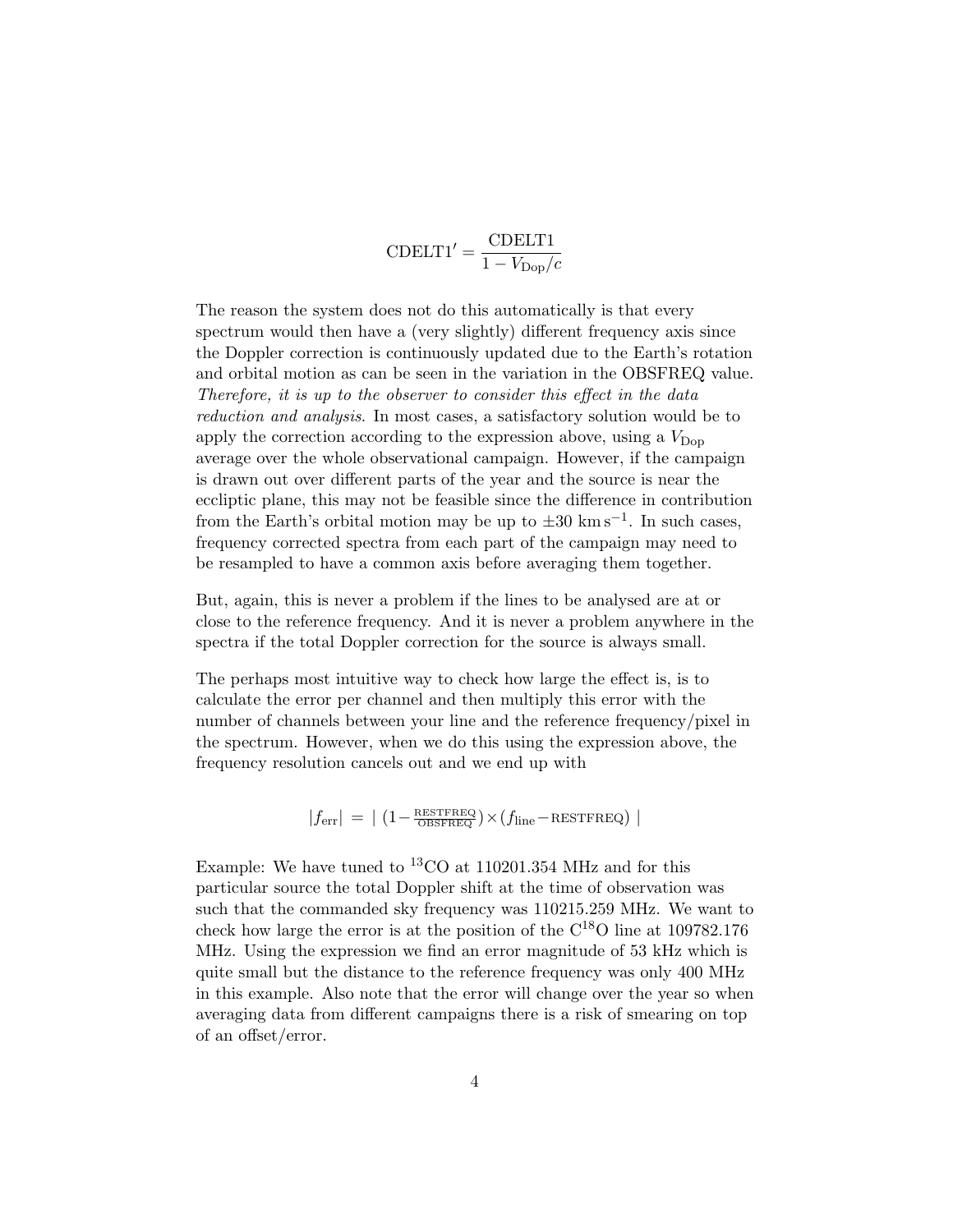$CDELT1' = \frac{CDELT1}{1 - \frac{1}{2}}$  $1 - V_{\text{Dop}}/c$ 

The reason the system does not do this automatically is that every spectrum would then have a (very slightly) different frequency axis since the Doppler correction is continuously updated due to the Earth's rotation and orbital motion as can be seen in the variation in the OBSFREQ value. Therefore, it is up to the observer to consider this effect in the data reduction and analysis. In most cases, a satisfactory solution would be to apply the correction according to the expression above, using a  $V_{\text{Don}}$ average over the whole observational campaign. However, if the campaign is drawn out over different parts of the year and the source is near the eccliptic plane, this may not be feasible since the difference in contribution from the Earth's orbital motion may be up to  $\pm 30 \text{ km s}^{-1}$ . In such cases, frequency corrected spectra from each part of the campaign may need to be resampled to have a common axis before averaging them together.

But, again, this is never a problem if the lines to be analysed are at or close to the reference frequency. And it is never a problem anywhere in the spectra if the total Doppler correction for the source is always small.

The perhaps most intuitive way to check how large the effect is, is to calculate the error per channel and then multiply this error with the number of channels between your line and the reference frequency/pixel in the spectrum. However, when we do this using the expression above, the frequency resolution cancels out and we end up with

 $|f_{\text{err}}| = | (1 - \frac{\text{RESTFREG}}{\text{OBSFREG}}) \times (f_{\text{line}} - \text{RESTFREG}) |$ 

Example: We have tuned to <sup>13</sup>CO at 110201.354 MHz and for this particular source the total Doppler shift at the time of observation was such that the commanded sky frequency was 110215.259 MHz. We want to check how large the error is at the position of the  $C^{18}O$  line at 109782.176 MHz. Using the expression we find an error magnitude of 53 kHz which is quite small but the distance to the reference frequency was only 400 MHz in this example. Also note that the error will change over the year so when averaging data from different campaigns there is a risk of smearing on top of an offset/error.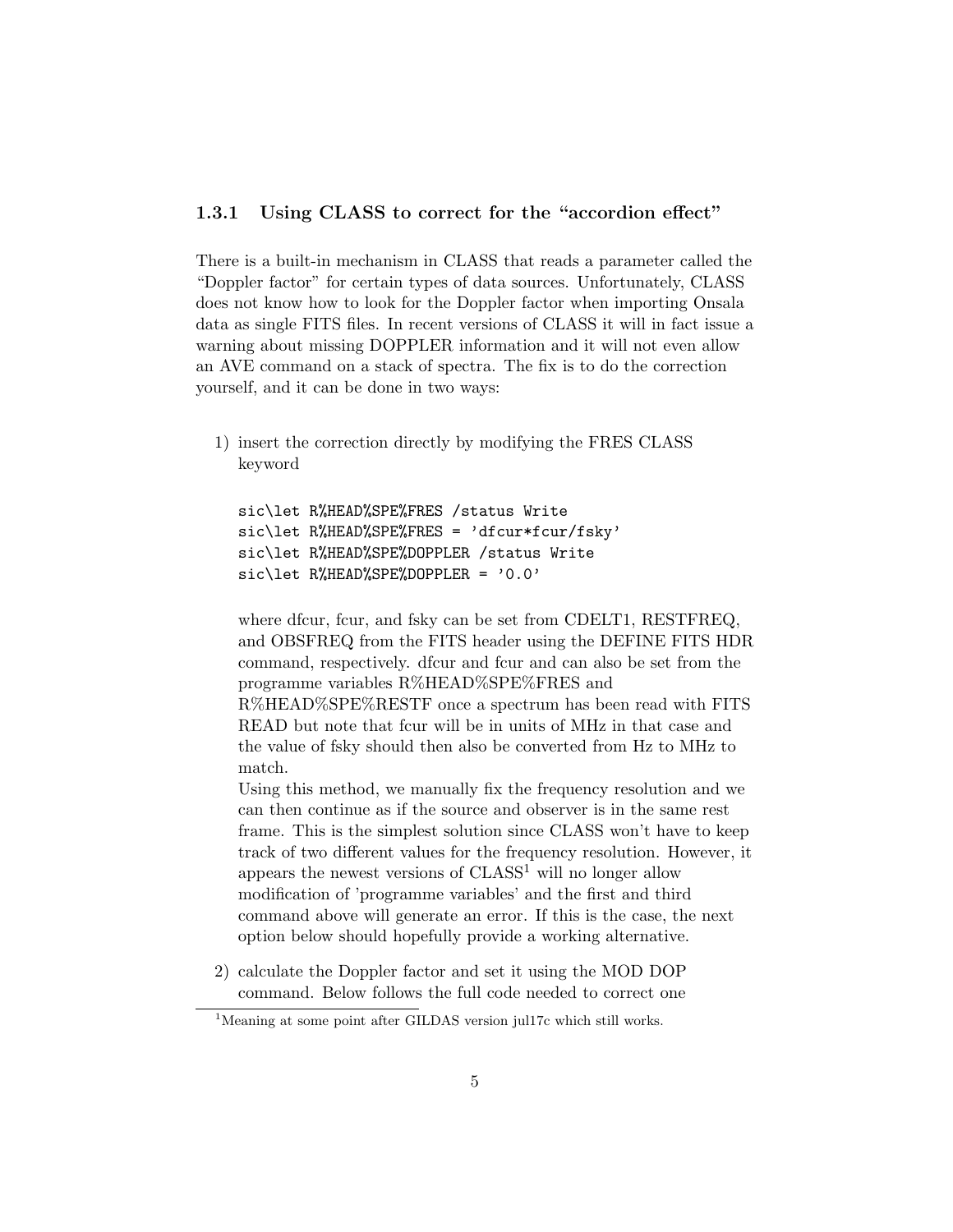#### 1.3.1 Using CLASS to correct for the "accordion effect"

There is a built-in mechanism in CLASS that reads a parameter called the "Doppler factor" for certain types of data sources. Unfortunately, CLASS does not know how to look for the Doppler factor when importing Onsala data as single FITS files. In recent versions of CLASS it will in fact issue a warning about missing DOPPLER information and it will not even allow an AVE command on a stack of spectra. The fix is to do the correction yourself, and it can be done in two ways:

1) insert the correction directly by modifying the FRES CLASS keyword

```
sic\let R%HEAD%SPE%FRES /status Write
sic\let R%HEAD%SPE%FRES = 'dfcur*fcur/fsky'
sic\let R%HEAD%SPE%DOPPLER /status Write
sic\let R%HEAD%SPE%DOPPLER = '0.0'
```
where dfcur, fcur, and fsky can be set from CDELT1, RESTFREQ. and OBSFREQ from the FITS header using the DEFINE FITS HDR command, respectively. dfcur and fcur and can also be set from the programme variables R%HEAD%SPE%FRES and R%HEAD%SPE%RESTF once a spectrum has been read with FITS READ but note that fcur will be in units of MHz in that case and the value of fsky should then also be converted from Hz to MHz to

match. Using this method, we manually fix the frequency resolution and we can then continue as if the source and observer is in the same rest frame. This is the simplest solution since CLASS won't have to keep track of two different values for the frequency resolution. However, it appears the newest versions of  $CLASS<sup>1</sup>$  will no longer allow modification of 'programme variables' and the first and third command above will generate an error. If this is the case, the next option below should hopefully provide a working alternative.

2) calculate the Doppler factor and set it using the MOD DOP command. Below follows the full code needed to correct one

<sup>&</sup>lt;sup>1</sup>Meaning at some point after GILDAS version jul17c which still works.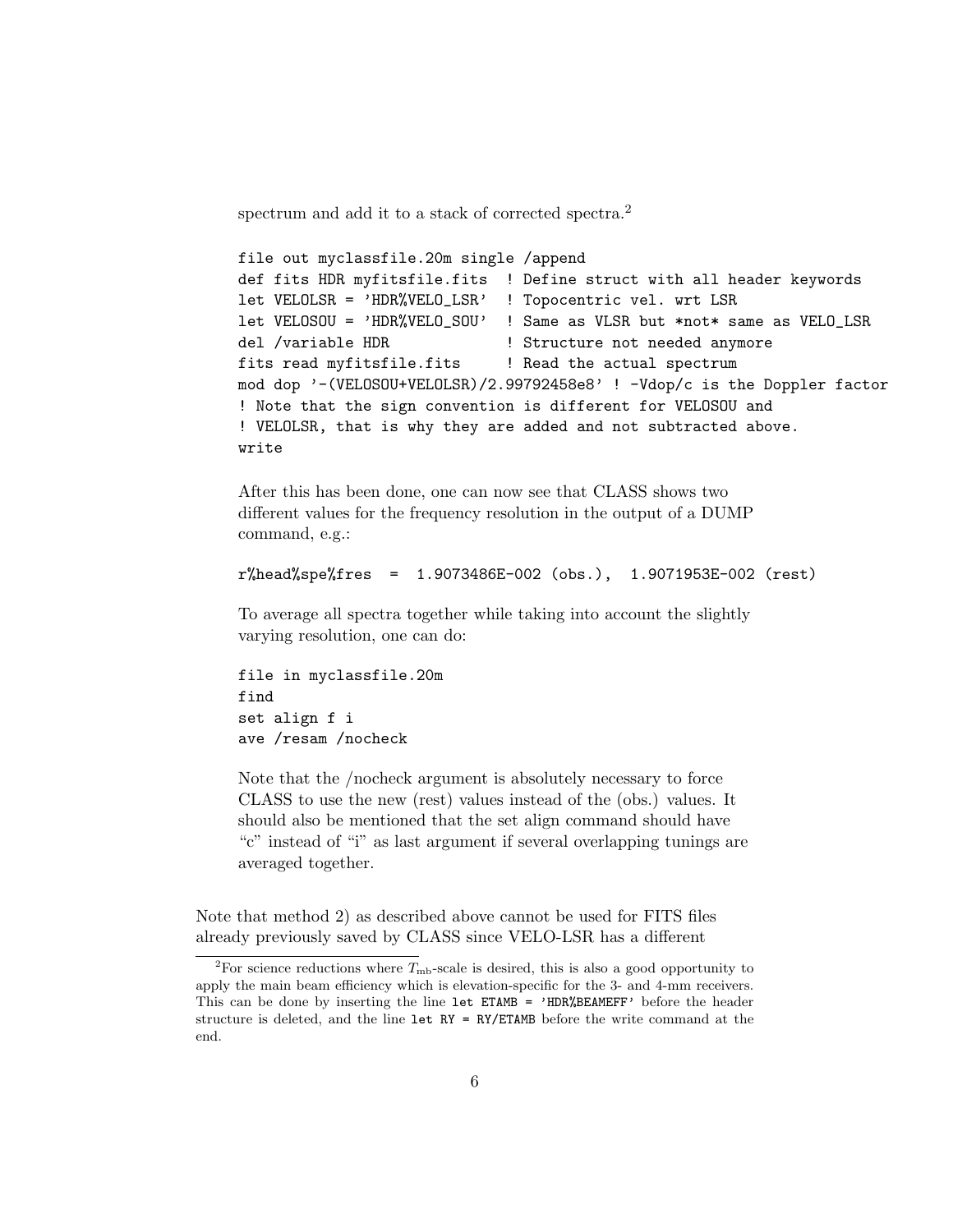spectrum and add it to a stack of corrected spectra.<sup>2</sup>

```
file out myclassfile.20m single /append
def fits HDR myfitsfile.fits ! Define struct with all header keywords
let VELOLSR = 'HDR%VELO_LSR' ! Topocentric vel. wrt LSR
let VELOSOU = 'HDR%VELO_SOU' ! Same as VLSR but *not* same as VELO_LSR
del /variable HDR | Structure not needed anymore
fits read myfitsfile.fits | Read the actual spectrum
mod dop '-(VELOSOU+VELOLSR)/2.99792458e8' ! -Vdop/c is the Doppler factor
! Note that the sign convention is different for VELOSOU and
! VELOLSR, that is why they are added and not subtracted above.
write
```
After this has been done, one can now see that CLASS shows two different values for the frequency resolution in the output of a DUMP command, e.g.:

```
r%head%spe%fres = 1.9073486E-002 (obs.), 1.9071953E-002 (rest)
```
To average all spectra together while taking into account the slightly varying resolution, one can do:

file in myclassfile.20m find set align f i ave /resam /nocheck

Note that the /nocheck argument is absolutely necessary to force CLASS to use the new (rest) values instead of the (obs.) values. It should also be mentioned that the set align command should have "c" instead of "i" as last argument if several overlapping tunings are averaged together.

Note that method 2) as described above cannot be used for FITS files already previously saved by CLASS since VELO-LSR has a different

<sup>&</sup>lt;sup>2</sup>For science reductions where  $T_{\text{mb}}$ -scale is desired, this is also a good opportunity to apply the main beam efficiency which is elevation-specific for the 3- and 4-mm receivers. This can be done by inserting the line let ETAMB = 'HDR%BEAMEFF' before the header structure is deleted, and the line  $let \ RY = RY/ETAMB$  before the write command at the end.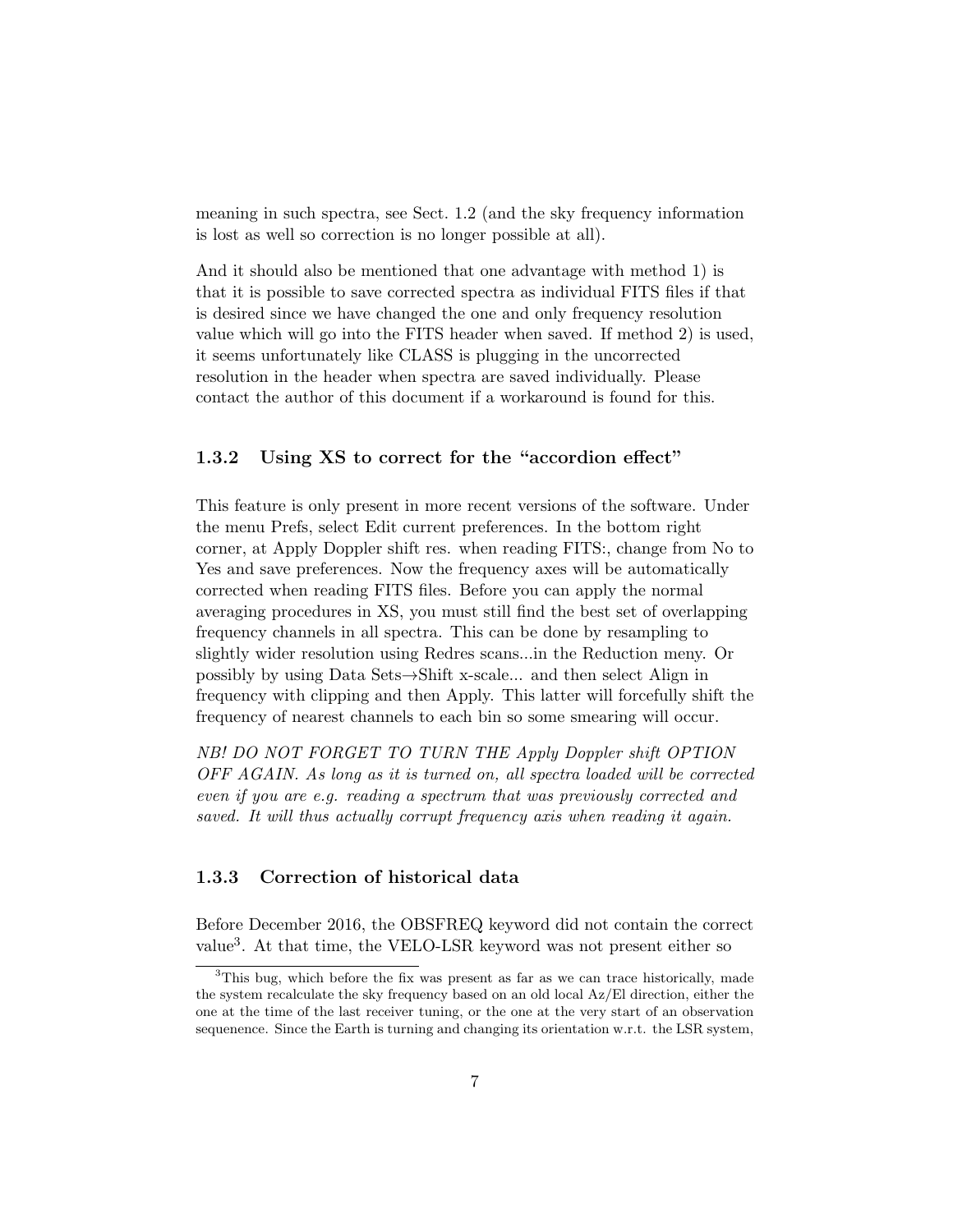meaning in such spectra, see Sect. 1.2 (and the sky frequency information is lost as well so correction is no longer possible at all).

And it should also be mentioned that one advantage with method 1) is that it is possible to save corrected spectra as individual FITS files if that is desired since we have changed the one and only frequency resolution value which will go into the FITS header when saved. If method 2) is used, it seems unfortunately like CLASS is plugging in the uncorrected resolution in the header when spectra are saved individually. Please contact the author of this document if a workaround is found for this.

#### 1.3.2 Using XS to correct for the "accordion effect"

This feature is only present in more recent versions of the software. Under the menu Prefs, select Edit current preferences. In the bottom right corner, at Apply Doppler shift res. when reading FITS:, change from No to Yes and save preferences. Now the frequency axes will be automatically corrected when reading FITS files. Before you can apply the normal averaging procedures in XS, you must still find the best set of overlapping frequency channels in all spectra. This can be done by resampling to slightly wider resolution using Redres scans...in the Reduction meny. Or possibly by using Data Sets→Shift x-scale... and then select Align in frequency with clipping and then Apply. This latter will forcefully shift the frequency of nearest channels to each bin so some smearing will occur.

NB! DO NOT FORGET TO TURN THE Apply Doppler shift OPTION OFF AGAIN. As long as it is turned on, all spectra loaded will be corrected even if you are e.g. reading a spectrum that was previously corrected and saved. It will thus actually corrupt frequency axis when reading it again.

#### 1.3.3 Correction of historical data

Before December 2016, the OBSFREQ keyword did not contain the correct value<sup>3</sup>. At that time, the VELO-LSR keyword was not present either so

<sup>&</sup>lt;sup>3</sup>This bug, which before the fix was present as far as we can trace historically, made the system recalculate the sky frequency based on an old local Az/El direction, either the one at the time of the last receiver tuning, or the one at the very start of an observation sequenence. Since the Earth is turning and changing its orientation w.r.t. the LSR system,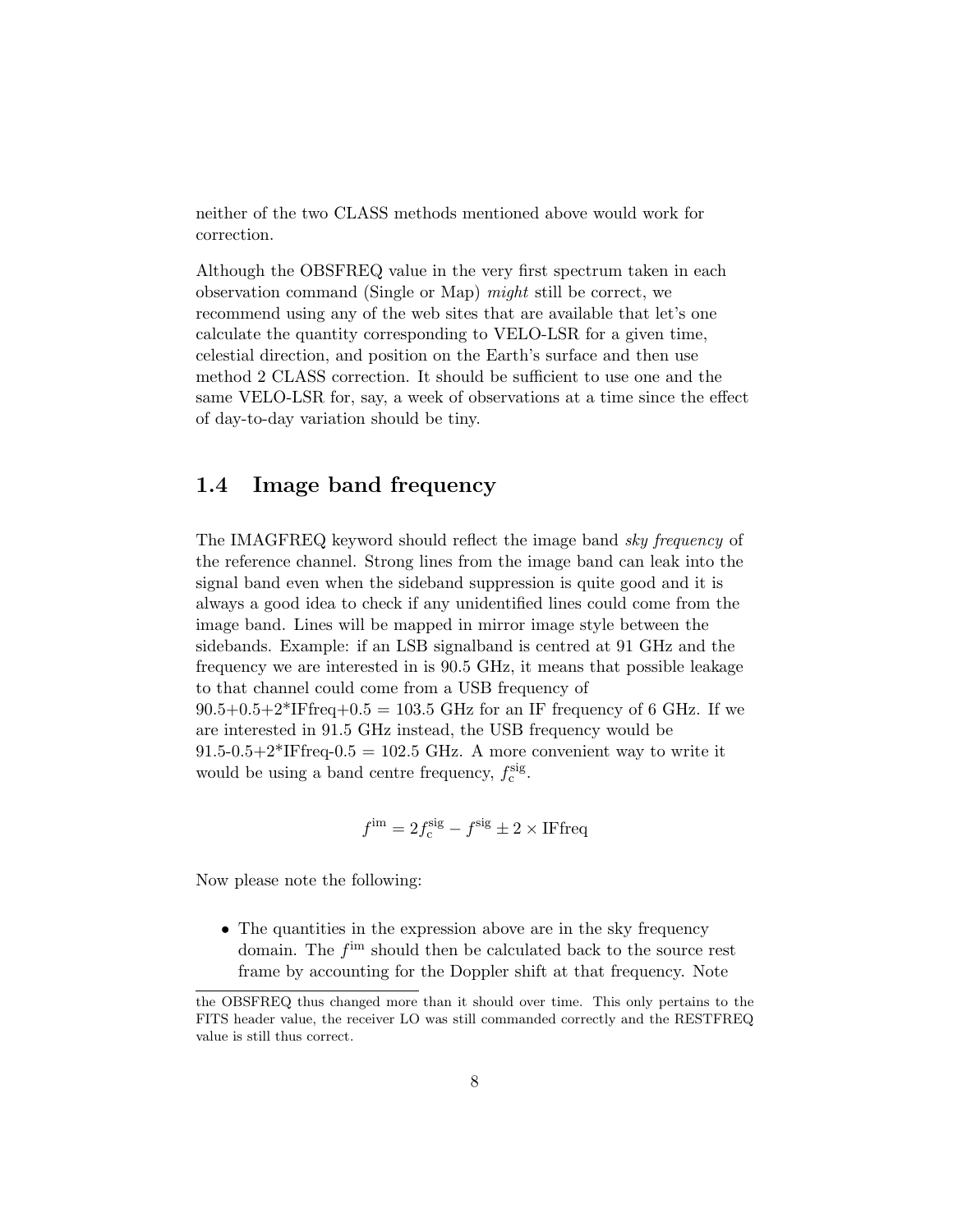neither of the two CLASS methods mentioned above would work for correction.

Although the OBSFREQ value in the very first spectrum taken in each observation command (Single or Map) might still be correct, we recommend using any of the web sites that are available that let's one calculate the quantity corresponding to VELO-LSR for a given time, celestial direction, and position on the Earth's surface and then use method 2 CLASS correction. It should be sufficient to use one and the same VELO-LSR for, say, a week of observations at a time since the effect of day-to-day variation should be tiny.

#### 1.4 Image band frequency

The IMAGFREQ keyword should reflect the image band sky frequency of the reference channel. Strong lines from the image band can leak into the signal band even when the sideband suppression is quite good and it is always a good idea to check if any unidentified lines could come from the image band. Lines will be mapped in mirror image style between the sidebands. Example: if an LSB signalband is centred at 91 GHz and the frequency we are interested in is 90.5 GHz, it means that possible leakage to that channel could come from a USB frequency of  $90.5+0.5+2*$ IFfreq+0.5 = 103.5 GHz for an IF frequency of 6 GHz. If we are interested in 91.5 GHz instead, the USB frequency would be  $91.5-0.5+2*$ IFfreq- $0.5 = 102.5$  GHz. A more convenient way to write it would be using a band centre frequency,  $f_c^{\text{sig}}$ .

$$
f^{\rm im}=2f_{\rm c}^{\rm sig}-f^{\rm sig}\pm 2\times \mathrm{IFfreq}
$$

Now please note the following:

• The quantities in the expression above are in the sky frequency domain. The  $f<sup>im</sup>$  should then be calculated back to the source rest frame by accounting for the Doppler shift at that frequency. Note

the OBSFREQ thus changed more than it should over time. This only pertains to the FITS header value, the receiver LO was still commanded correctly and the RESTFREQ value is still thus correct.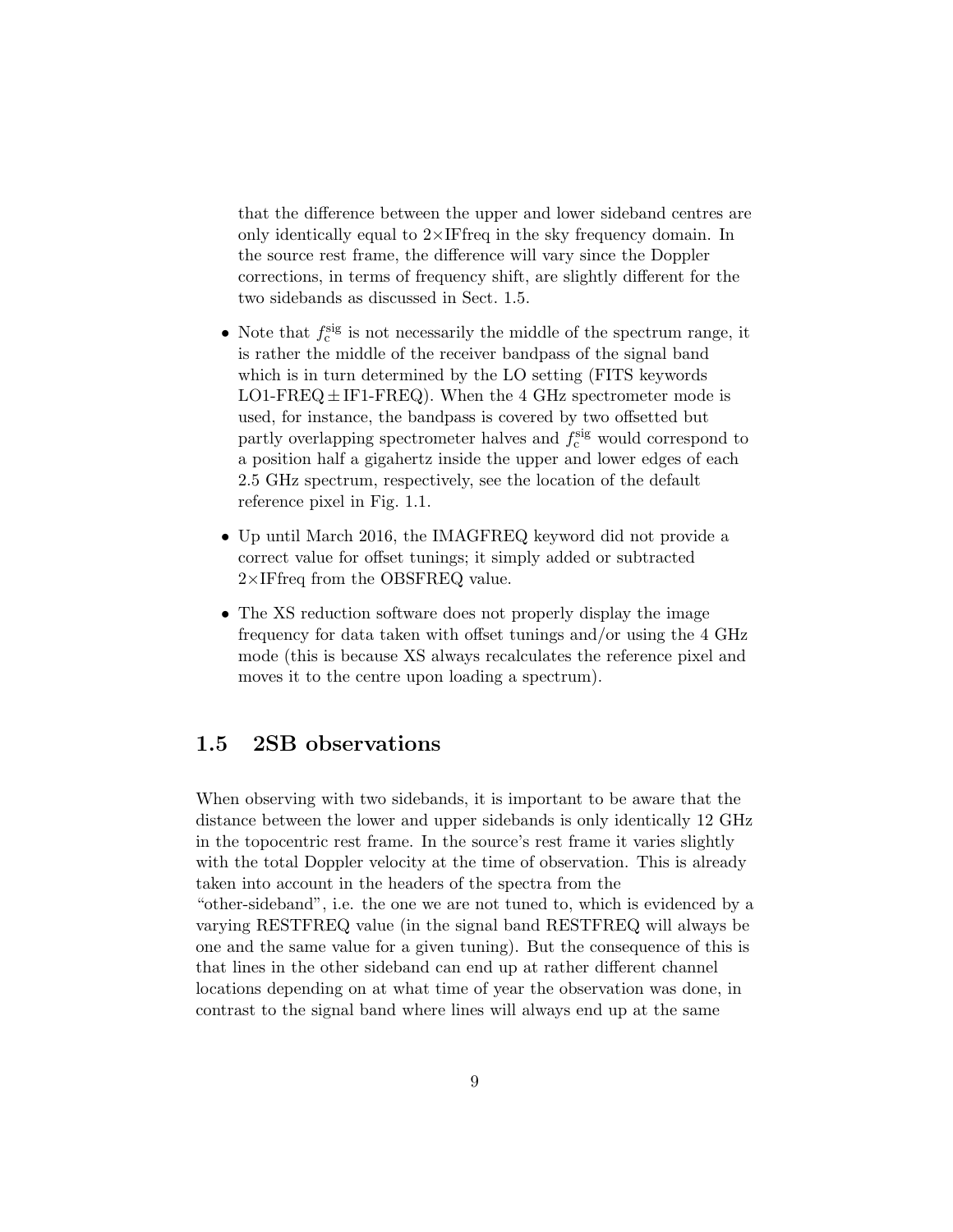that the difference between the upper and lower sideband centres are only identically equal to  $2\times$ IFfreq in the sky frequency domain. In the source rest frame, the difference will vary since the Doppler corrections, in terms of frequency shift, are slightly different for the two sidebands as discussed in Sect. 1.5.

- Note that  $f_c^{\text{sig}}$  is not necessarily the middle of the spectrum range, it is rather the middle of the receiver bandpass of the signal band which is in turn determined by the LO setting (FITS keywords  $LO1-FREG \pm IF1-FREG$ ). When the 4 GHz spectrometer mode is used, for instance, the bandpass is covered by two offsetted but partly overlapping spectrometer halves and  $f_c^{\text{sig}}$  would correspond to a position half a gigahertz inside the upper and lower edges of each 2.5 GHz spectrum, respectively, see the location of the default reference pixel in Fig. 1.1.
- Up until March 2016, the IMAGFREQ keyword did not provide a correct value for offset tunings; it simply added or subtracted 2×IFfreq from the OBSFREQ value.
- The XS reduction software does not properly display the image frequency for data taken with offset tunings and/or using the 4 GHz mode (this is because XS always recalculates the reference pixel and moves it to the centre upon loading a spectrum).

#### 1.5 2SB observations

When observing with two sidebands, it is important to be aware that the distance between the lower and upper sidebands is only identically 12 GHz in the topocentric rest frame. In the source's rest frame it varies slightly with the total Doppler velocity at the time of observation. This is already taken into account in the headers of the spectra from the "other-sideband", i.e. the one we are not tuned to, which is evidenced by a varying RESTFREQ value (in the signal band RESTFREQ will always be one and the same value for a given tuning). But the consequence of this is that lines in the other sideband can end up at rather different channel locations depending on at what time of year the observation was done, in contrast to the signal band where lines will always end up at the same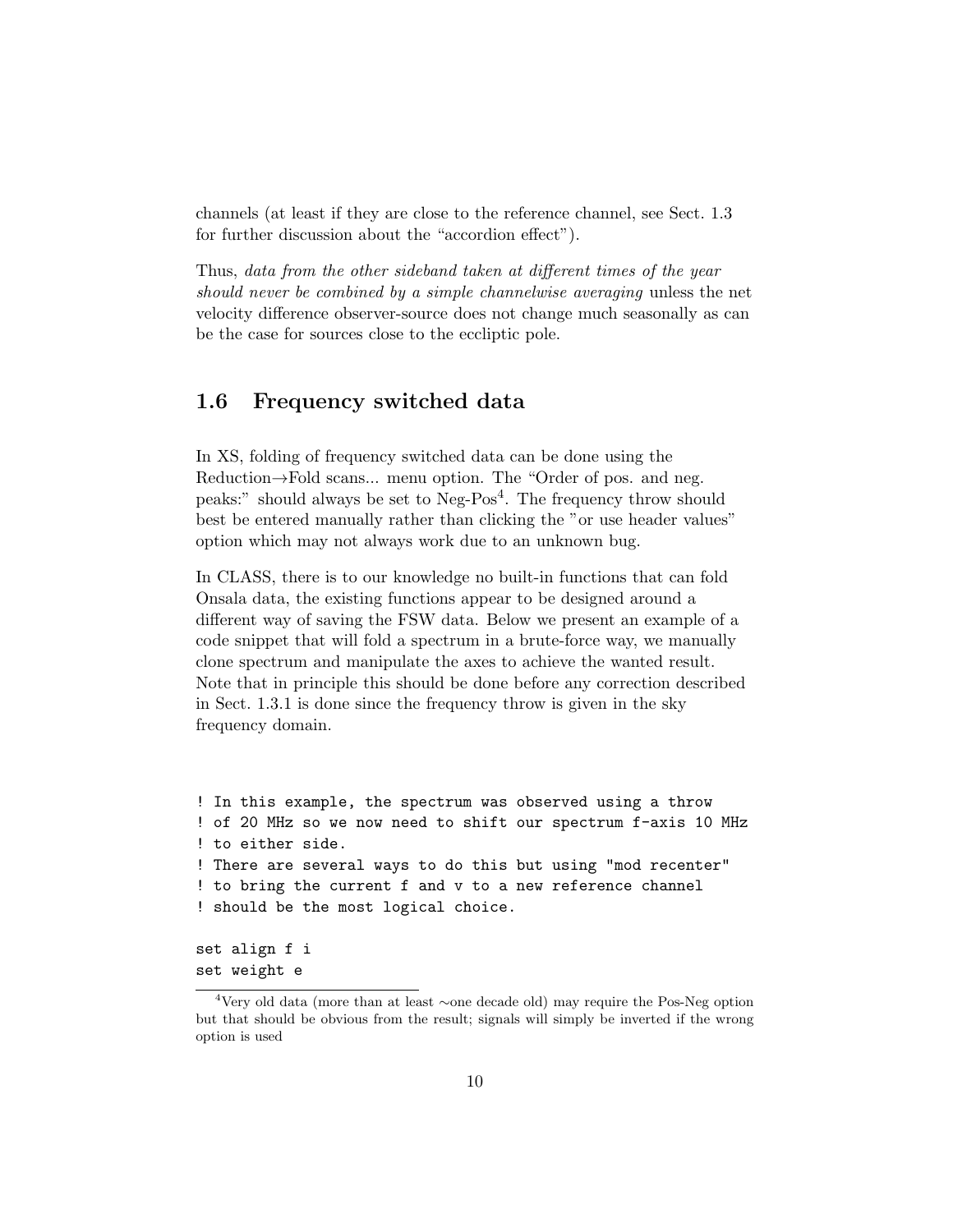channels (at least if they are close to the reference channel, see Sect. 1.3 for further discussion about the "accordion effect").

Thus, data from the other sideband taken at different times of the year should never be combined by a simple channelwise averaging unless the net velocity difference observer-source does not change much seasonally as can be the case for sources close to the eccliptic pole.

#### 1.6 Frequency switched data

In XS, folding of frequency switched data can be done using the Reduction→Fold scans... menu option. The "Order of pos. and neg. peaks:" should always be set to  $Neg-Pos<sup>4</sup>$ . The frequency throw should best be entered manually rather than clicking the "or use header values" option which may not always work due to an unknown bug.

In CLASS, there is to our knowledge no built-in functions that can fold Onsala data, the existing functions appear to be designed around a different way of saving the FSW data. Below we present an example of a code snippet that will fold a spectrum in a brute-force way, we manually clone spectrum and manipulate the axes to achieve the wanted result. Note that in principle this should be done before any correction described in Sect. 1.3.1 is done since the frequency throw is given in the sky frequency domain.

```
! In this example, the spectrum was observed using a throw
! of 20 MHz so we now need to shift our spectrum f-axis 10 MHz
! to either side.
! There are several ways to do this but using "mod recenter"
! to bring the current f and v to a new reference channel
! should be the most logical choice.
```
set align f i set weight e

<sup>4</sup>Very old data (more than at least ∼one decade old) may require the Pos-Neg option but that should be obvious from the result; signals will simply be inverted if the wrong option is used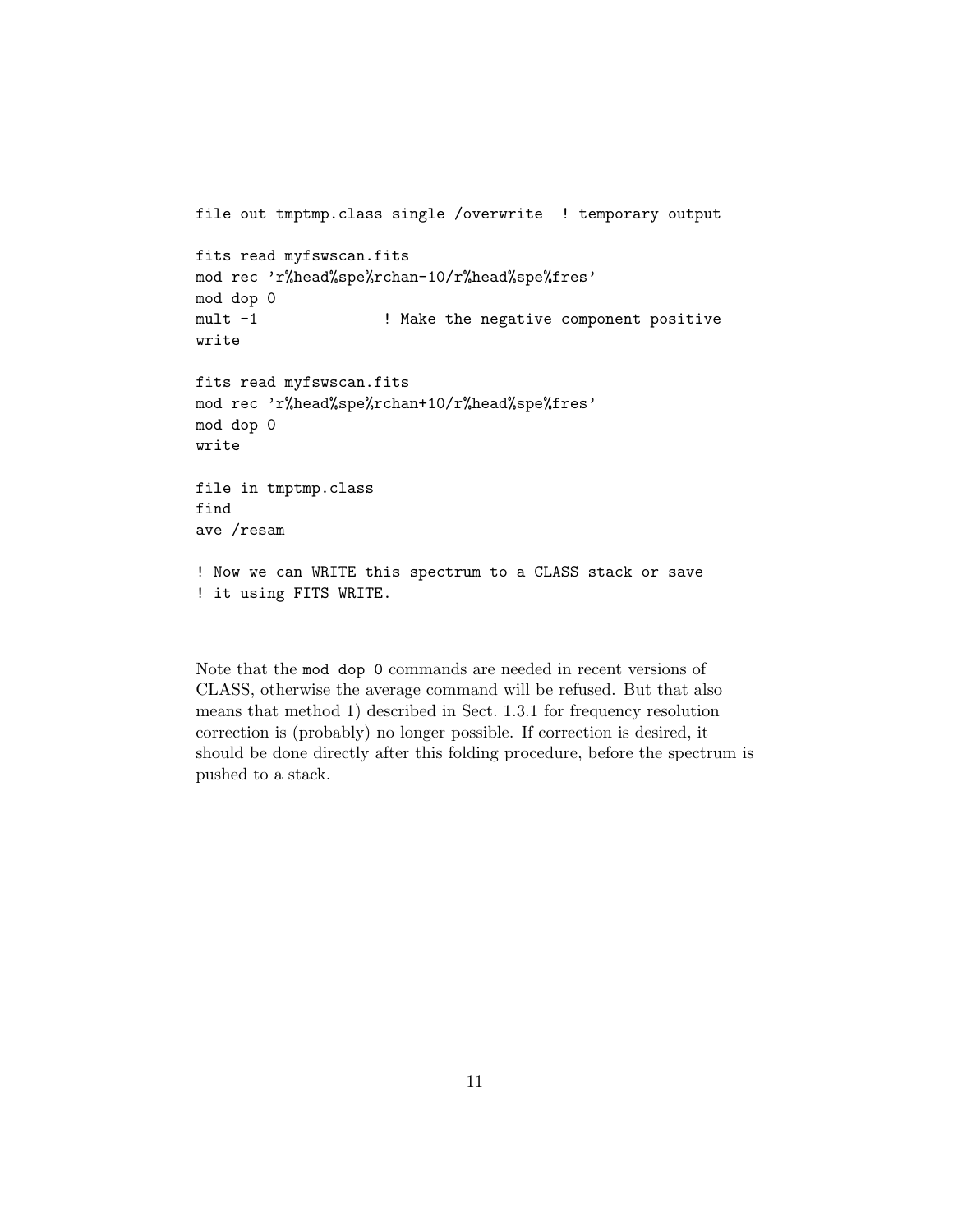```
file out tmptmp.class single /overwrite ! temporary output
fits read myfswscan.fits
mod rec 'r%head%spe%rchan-10/r%head%spe%fres'
mod dop 0
mult -1 \qquad ! Make the negative component positive
write
fits read myfswscan.fits
mod rec 'r%head%spe%rchan+10/r%head%spe%fres'
mod dop 0
write
file in tmptmp.class
find
ave /resam
! Now we can WRITE this spectrum to a CLASS stack or save
! it using FITS WRITE.
```
Note that the mod dop 0 commands are needed in recent versions of CLASS, otherwise the average command will be refused. But that also means that method 1) described in Sect. 1.3.1 for frequency resolution correction is (probably) no longer possible. If correction is desired, it should be done directly after this folding procedure, before the spectrum is pushed to a stack.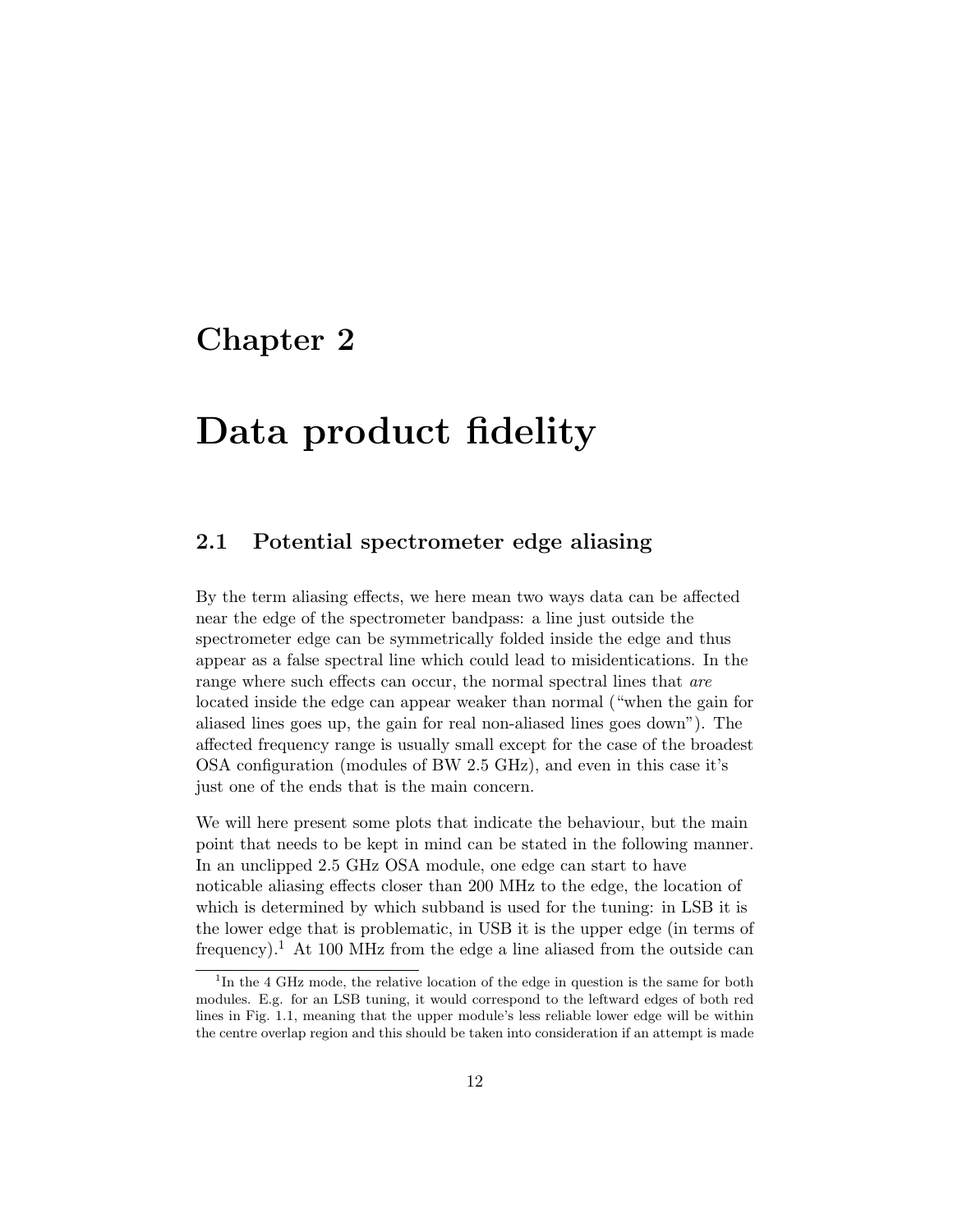## Chapter 2

# Data product fidelity

### 2.1 Potential spectrometer edge aliasing

By the term aliasing effects, we here mean two ways data can be affected near the edge of the spectrometer bandpass: a line just outside the spectrometer edge can be symmetrically folded inside the edge and thus appear as a false spectral line which could lead to misidentications. In the range where such effects can occur, the normal spectral lines that are located inside the edge can appear weaker than normal ("when the gain for aliased lines goes up, the gain for real non-aliased lines goes down"). The affected frequency range is usually small except for the case of the broadest OSA configuration (modules of BW 2.5 GHz), and even in this case it's just one of the ends that is the main concern.

We will here present some plots that indicate the behaviour, but the main point that needs to be kept in mind can be stated in the following manner. In an unclipped 2.5 GHz OSA module, one edge can start to have noticable aliasing effects closer than 200 MHz to the edge, the location of which is determined by which subband is used for the tuning: in LSB it is the lower edge that is problematic, in USB it is the upper edge (in terms of frequency).<sup>1</sup> At 100 MHz from the edge a line aliased from the outside can

<sup>&</sup>lt;sup>1</sup>In the 4 GHz mode, the relative location of the edge in question is the same for both modules. E.g. for an LSB tuning, it would correspond to the leftward edges of both red lines in Fig. 1.1, meaning that the upper module's less reliable lower edge will be within the centre overlap region and this should be taken into consideration if an attempt is made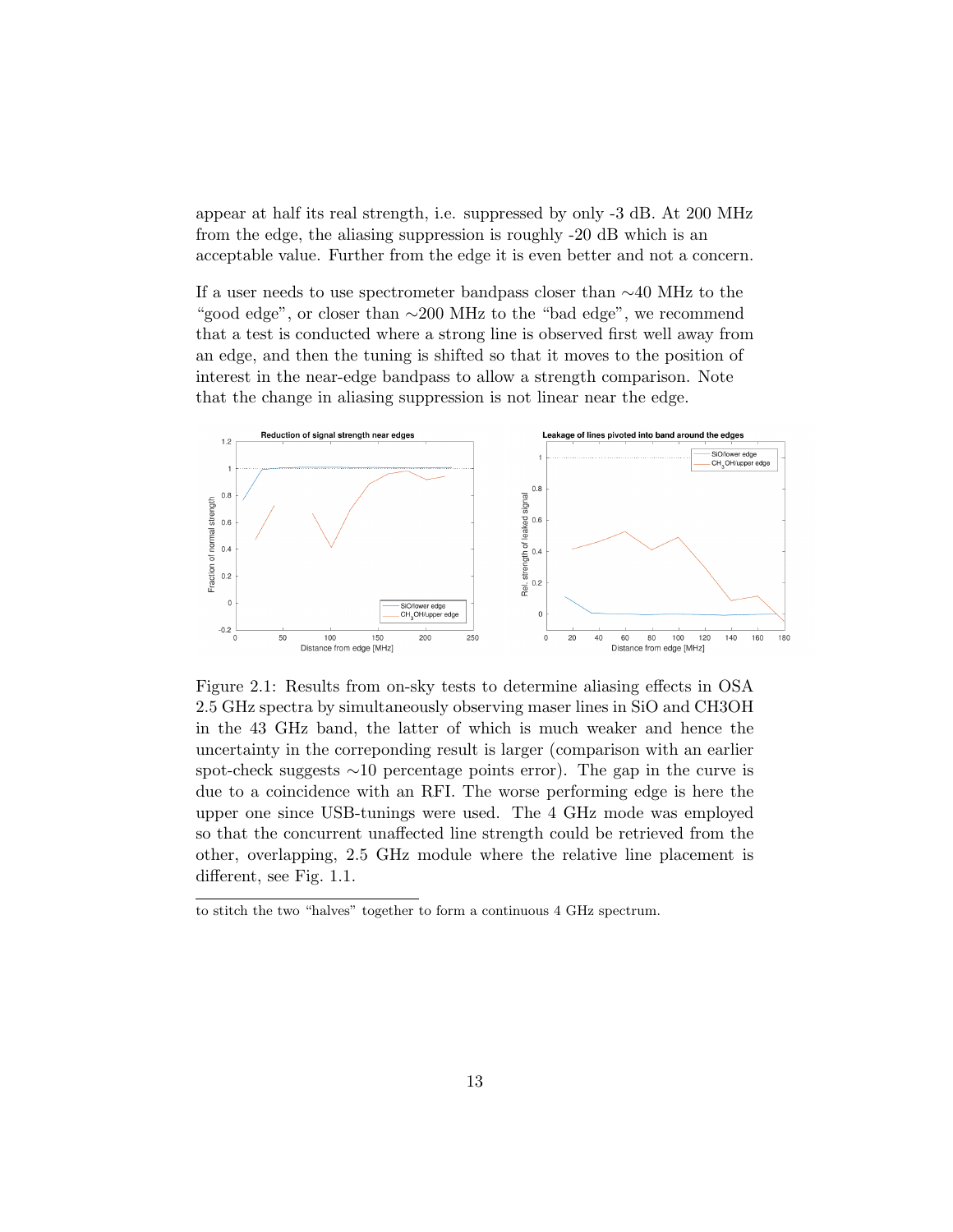appear at half its real strength, i.e. suppressed by only -3 dB. At 200 MHz from the edge, the aliasing suppression is roughly -20 dB which is an acceptable value. Further from the edge it is even better and not a concern.

If a user needs to use spectrometer bandpass closer than ∼40 MHz to the "good edge", or closer than ∼200 MHz to the "bad edge", we recommend that a test is conducted where a strong line is observed first well away from an edge, and then the tuning is shifted so that it moves to the position of interest in the near-edge bandpass to allow a strength comparison. Note that the change in aliasing suppression is not linear near the edge.



Figure 2.1: Results from on-sky tests to determine aliasing effects in OSA 2.5 GHz spectra by simultaneously observing maser lines in SiO and CH3OH in the 43 GHz band, the latter of which is much weaker and hence the uncertainty in the correponding result is larger (comparison with an earlier spot-check suggests ∼10 percentage points error). The gap in the curve is due to a coincidence with an RFI. The worse performing edge is here the upper one since USB-tunings were used. The 4 GHz mode was employed so that the concurrent unaffected line strength could be retrieved from the other, overlapping, 2.5 GHz module where the relative line placement is different, see Fig. 1.1.

to stitch the two "halves" together to form a continuous 4 GHz spectrum.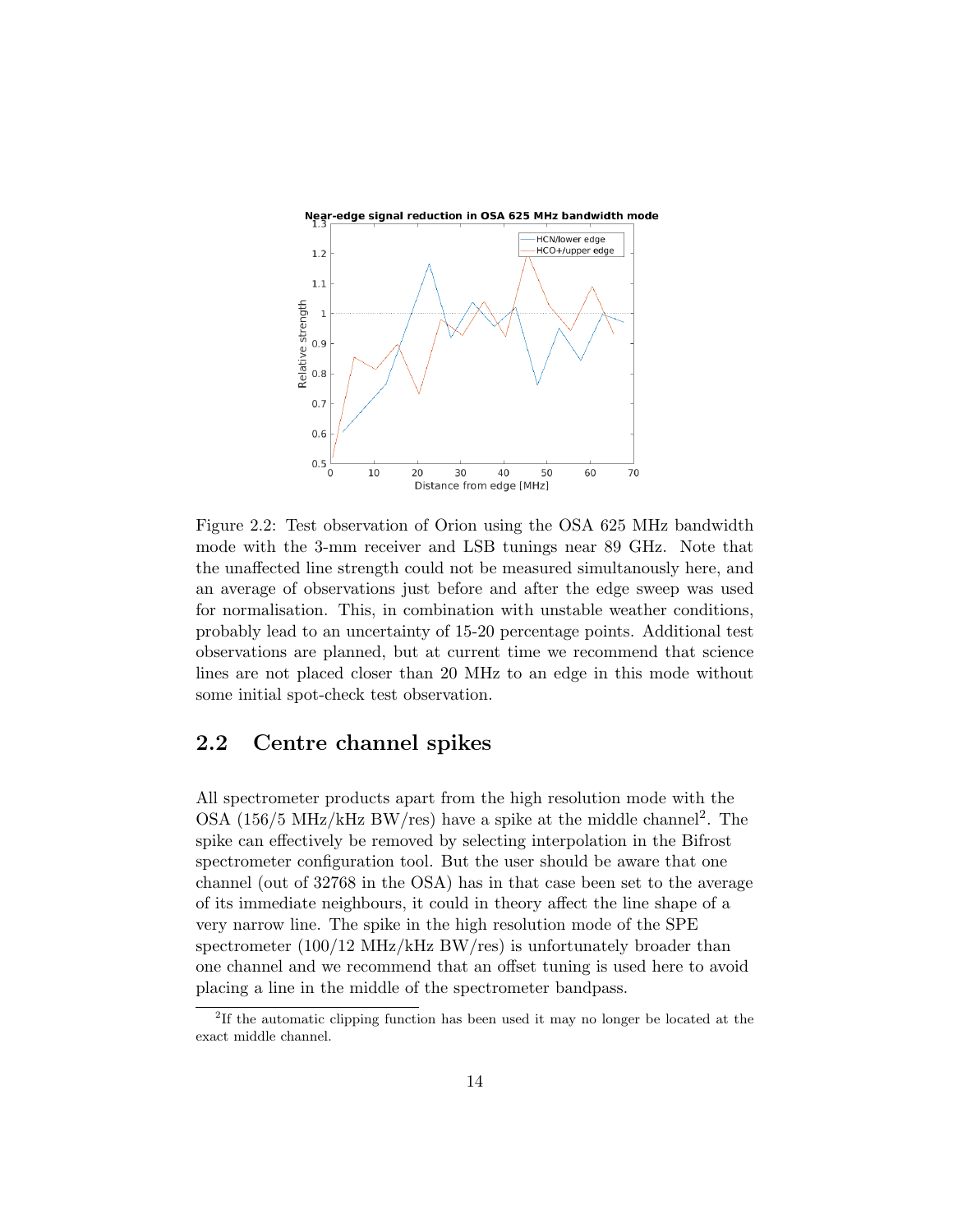

Figure 2.2: Test observation of Orion using the OSA 625 MHz bandwidth mode with the 3-mm receiver and LSB tunings near 89 GHz. Note that the unaffected line strength could not be measured simultanously here, and an average of observations just before and after the edge sweep was used for normalisation. This, in combination with unstable weather conditions, probably lead to an uncertainty of 15-20 percentage points. Additional test observations are planned, but at current time we recommend that science lines are not placed closer than 20 MHz to an edge in this mode without some initial spot-check test observation.

#### 2.2 Centre channel spikes

All spectrometer products apart from the high resolution mode with the OSA (156/5 MHz/kHz BW/res) have a spike at the middle channel<sup>2</sup>. The spike can effectively be removed by selecting interpolation in the Bifrost spectrometer configuration tool. But the user should be aware that one channel (out of 32768 in the OSA) has in that case been set to the average of its immediate neighbours, it could in theory affect the line shape of a very narrow line. The spike in the high resolution mode of the SPE spectrometer (100/12 MHz/kHz BW/res) is unfortunately broader than one channel and we recommend that an offset tuning is used here to avoid placing a line in the middle of the spectrometer bandpass.

<sup>&</sup>lt;sup>2</sup>If the automatic clipping function has been used it may no longer be located at the exact middle channel.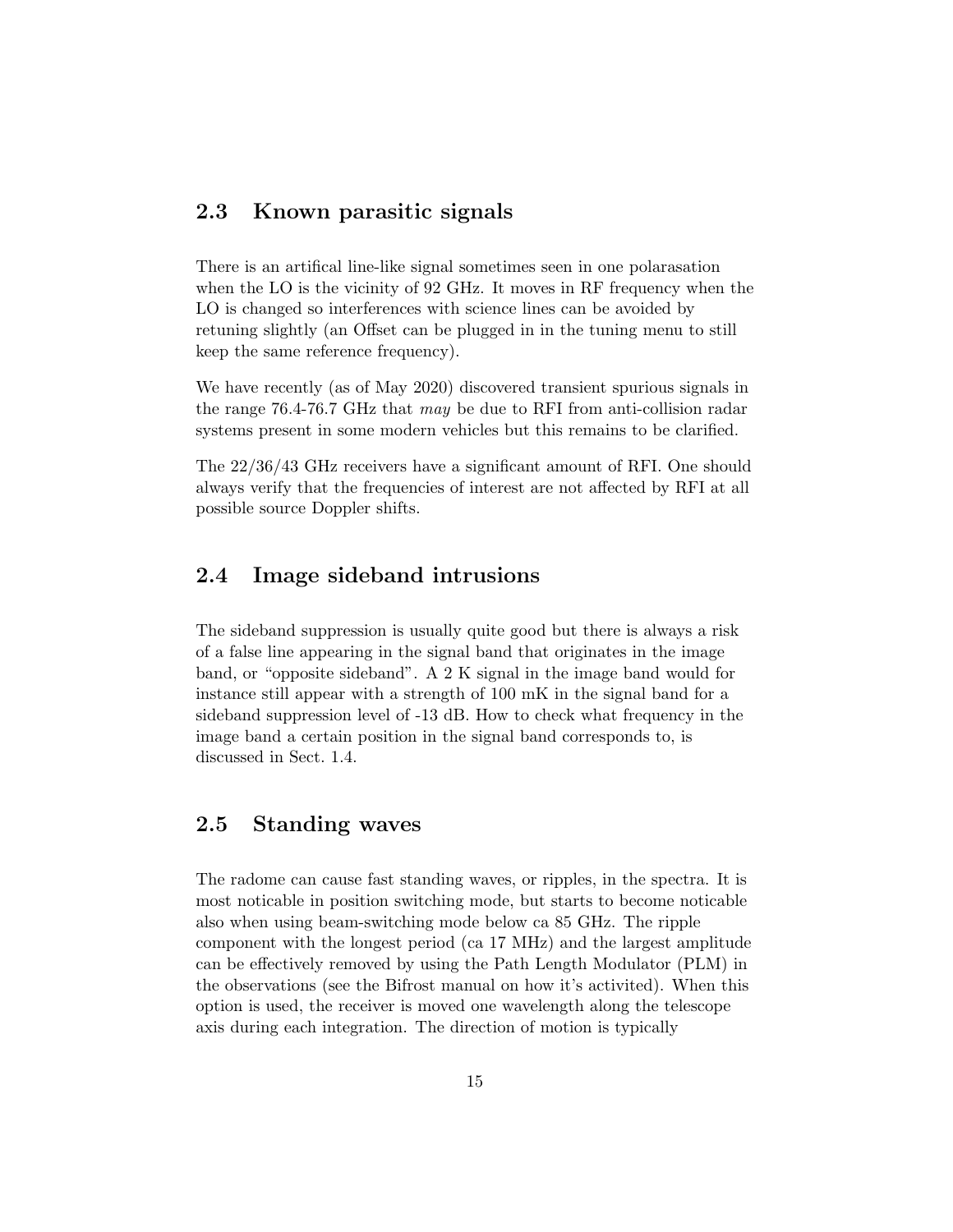#### 2.3 Known parasitic signals

There is an artifical line-like signal sometimes seen in one polarasation when the LO is the vicinity of 92 GHz. It moves in RF frequency when the LO is changed so interferences with science lines can be avoided by retuning slightly (an Offset can be plugged in in the tuning menu to still keep the same reference frequency).

We have recently (as of May 2020) discovered transient spurious signals in the range 76.4-76.7 GHz that may be due to RFI from anti-collision radar systems present in some modern vehicles but this remains to be clarified.

The 22/36/43 GHz receivers have a significant amount of RFI. One should always verify that the frequencies of interest are not affected by RFI at all possible source Doppler shifts.

#### 2.4 Image sideband intrusions

The sideband suppression is usually quite good but there is always a risk of a false line appearing in the signal band that originates in the image band, or "opposite sideband". A 2 K signal in the image band would for instance still appear with a strength of 100 mK in the signal band for a sideband suppression level of -13 dB. How to check what frequency in the image band a certain position in the signal band corresponds to, is discussed in Sect. 1.4.

#### 2.5 Standing waves

The radome can cause fast standing waves, or ripples, in the spectra. It is most noticable in position switching mode, but starts to become noticable also when using beam-switching mode below ca 85 GHz. The ripple component with the longest period (ca 17 MHz) and the largest amplitude can be effectively removed by using the Path Length Modulator (PLM) in the observations (see the Bifrost manual on how it's activited). When this option is used, the receiver is moved one wavelength along the telescope axis during each integration. The direction of motion is typically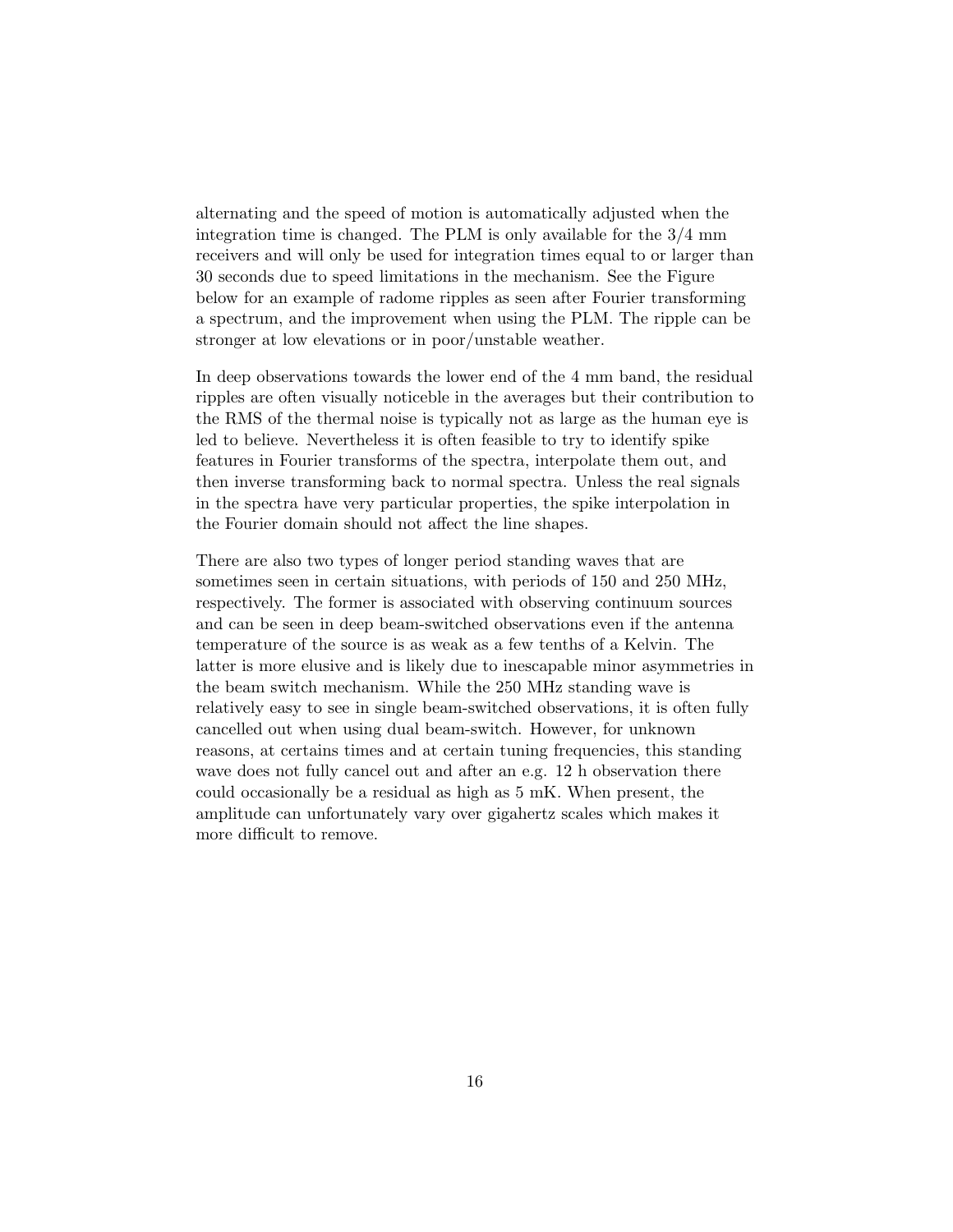alternating and the speed of motion is automatically adjusted when the integration time is changed. The PLM is only available for the  $3/4$  mm receivers and will only be used for integration times equal to or larger than 30 seconds due to speed limitations in the mechanism. See the Figure below for an example of radome ripples as seen after Fourier transforming a spectrum, and the improvement when using the PLM. The ripple can be stronger at low elevations or in poor/unstable weather.

In deep observations towards the lower end of the 4 mm band, the residual ripples are often visually noticeble in the averages but their contribution to the RMS of the thermal noise is typically not as large as the human eye is led to believe. Nevertheless it is often feasible to try to identify spike features in Fourier transforms of the spectra, interpolate them out, and then inverse transforming back to normal spectra. Unless the real signals in the spectra have very particular properties, the spike interpolation in the Fourier domain should not affect the line shapes.

There are also two types of longer period standing waves that are sometimes seen in certain situations, with periods of 150 and 250 MHz, respectively. The former is associated with observing continuum sources and can be seen in deep beam-switched observations even if the antenna temperature of the source is as weak as a few tenths of a Kelvin. The latter is more elusive and is likely due to inescapable minor asymmetries in the beam switch mechanism. While the 250 MHz standing wave is relatively easy to see in single beam-switched observations, it is often fully cancelled out when using dual beam-switch. However, for unknown reasons, at certains times and at certain tuning frequencies, this standing wave does not fully cancel out and after an e.g. 12 h observation there could occasionally be a residual as high as 5 mK. When present, the amplitude can unfortunately vary over gigahertz scales which makes it more difficult to remove.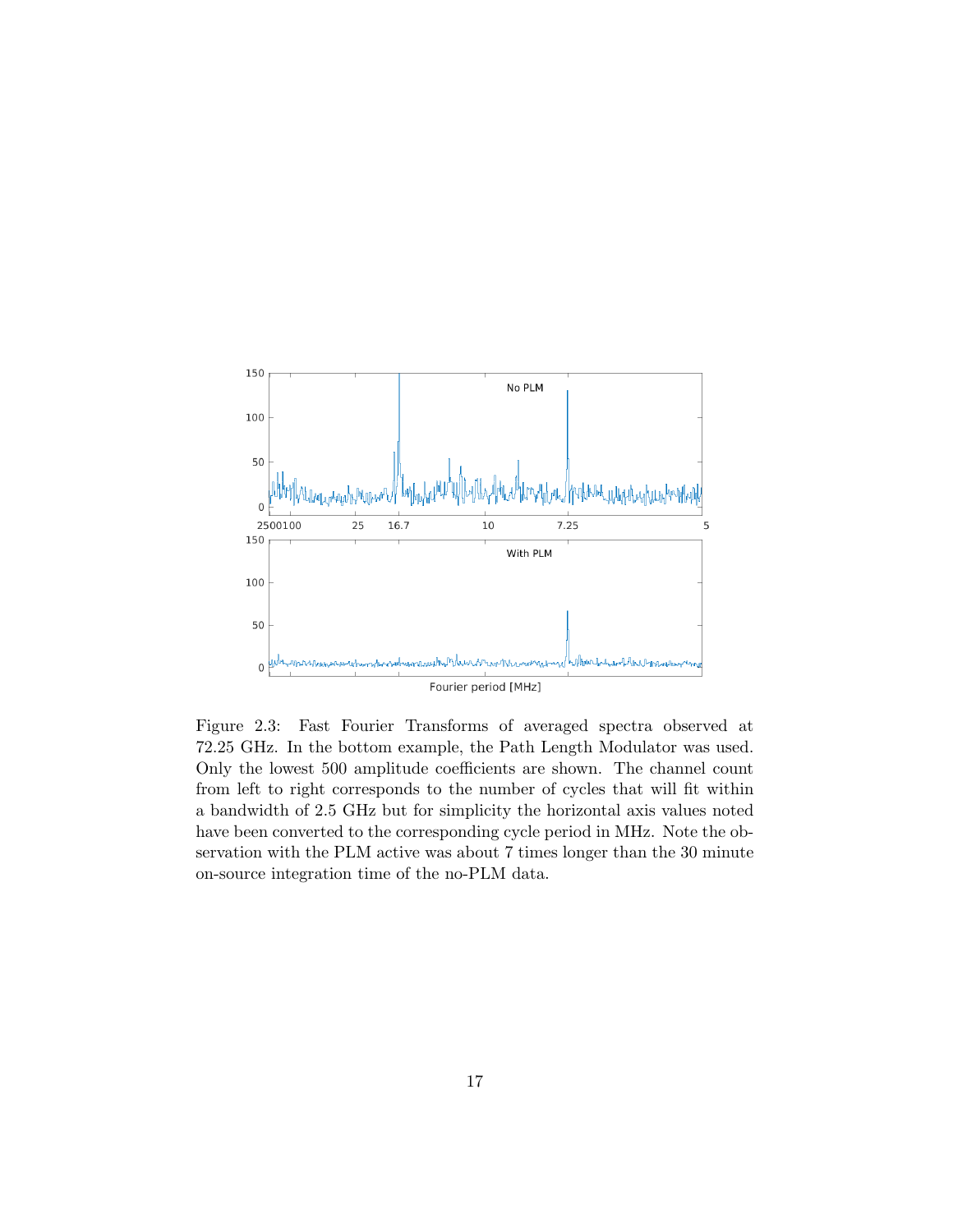

Figure 2.3: Fast Fourier Transforms of averaged spectra observed at 72.25 GHz. In the bottom example, the Path Length Modulator was used. Only the lowest 500 amplitude coefficients are shown. The channel count from left to right corresponds to the number of cycles that will fit within a bandwidth of 2.5 GHz but for simplicity the horizontal axis values noted have been converted to the corresponding cycle period in MHz. Note the observation with the PLM active was about 7 times longer than the 30 minute on-source integration time of the no-PLM data.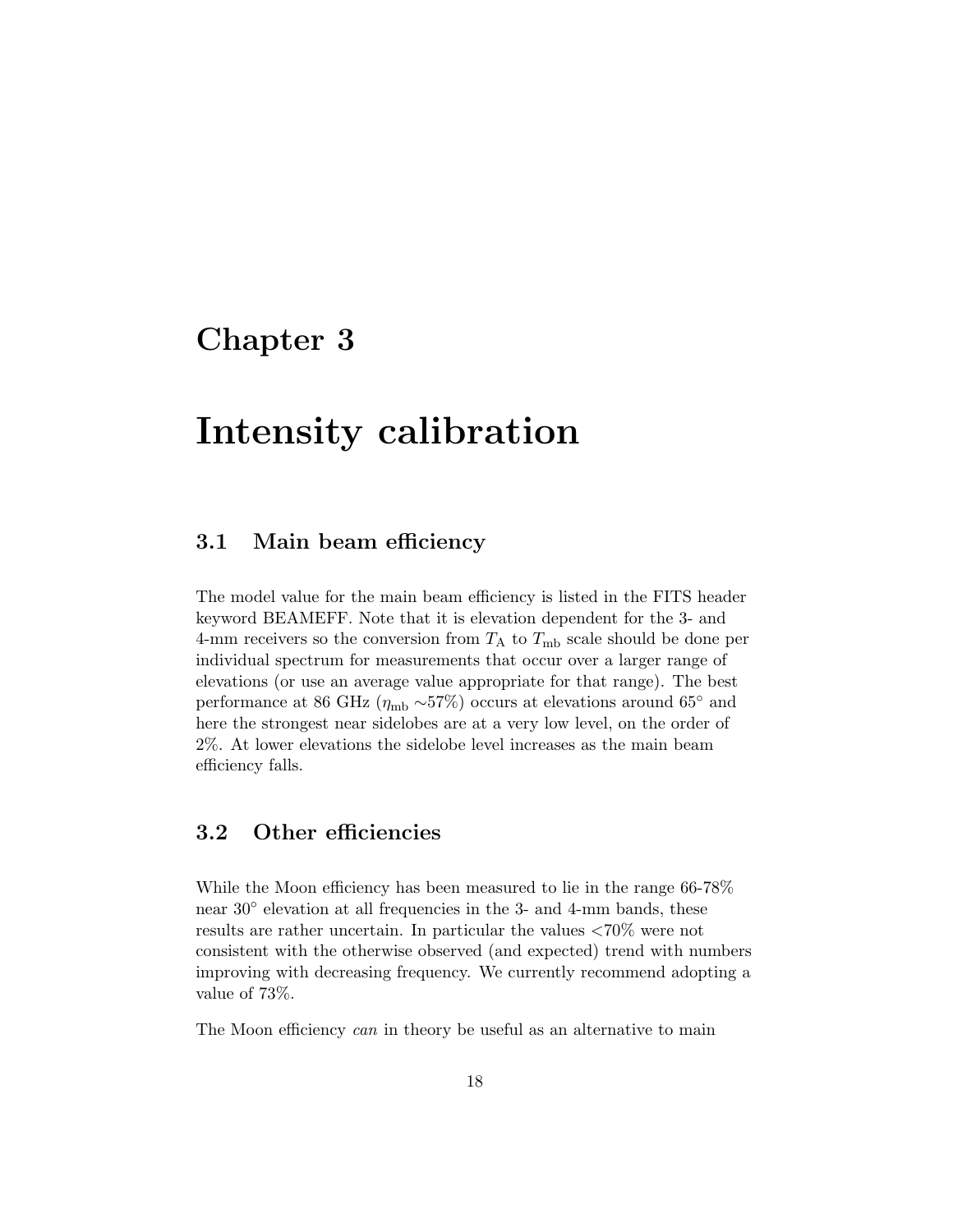## Chapter 3

# Intensity calibration

#### 3.1 Main beam efficiency

The model value for the main beam efficiency is listed in the FITS header keyword BEAMEFF. Note that it is elevation dependent for the 3- and 4-mm receivers so the conversion from  $T_A$  to  $T_{mb}$  scale should be done per individual spectrum for measurements that occur over a larger range of elevations (or use an average value appropriate for that range). The best performance at 86 GHz ( $\eta_{\rm mb} \sim 57\%$ ) occurs at elevations around 65° and here the strongest near sidelobes are at a very low level, on the order of 2%. At lower elevations the sidelobe level increases as the main beam efficiency falls.

#### 3.2 Other efficiencies

While the Moon efficiency has been measured to lie in the range 66-78% near 30° elevation at all frequencies in the 3- and 4-mm bands, these results are rather uncertain. In particular the values <70% were not consistent with the otherwise observed (and expected) trend with numbers improving with decreasing frequency. We currently recommend adopting a value of 73%.

The Moon efficiency can in theory be useful as an alternative to main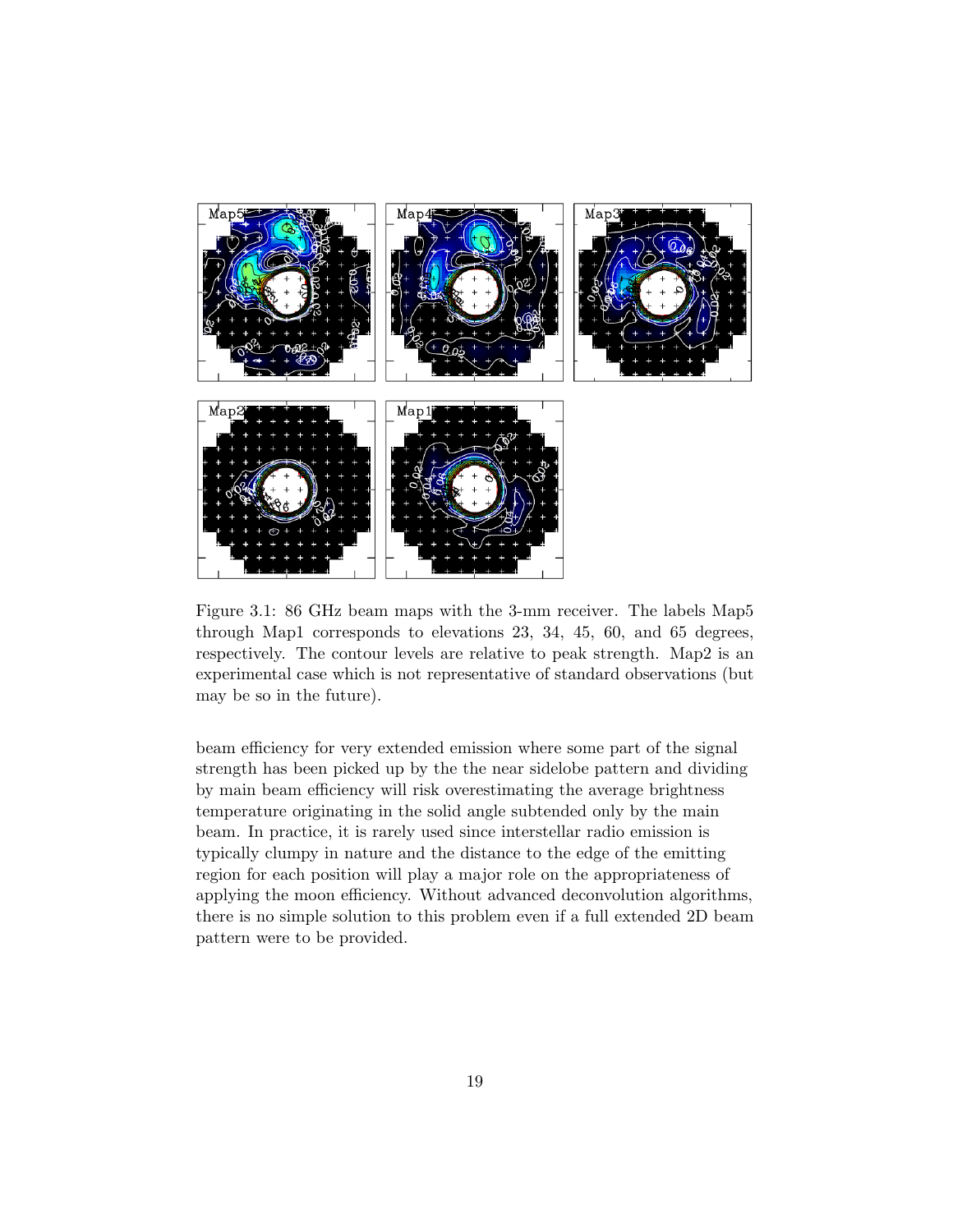

Figure 3.1: 86 GHz beam maps with the 3-mm receiver. The labels Map5 through Map1 corresponds to elevations 23, 34, 45, 60, and 65 degrees, respectively. The contour levels are relative to peak strength. Map2 is an experimental case which is not representative of standard observations (but may be so in the future).

beam efficiency for very extended emission where some part of the signal strength has been picked up by the the near sidelobe pattern and dividing by main beam efficiency will risk overestimating the average brightness temperature originating in the solid angle subtended only by the main beam. In practice, it is rarely used since interstellar radio emission is typically clumpy in nature and the distance to the edge of the emitting region for each position will play a major role on the appropriateness of applying the moon efficiency. Without advanced deconvolution algorithms, there is no simple solution to this problem even if a full extended 2D beam pattern were to be provided.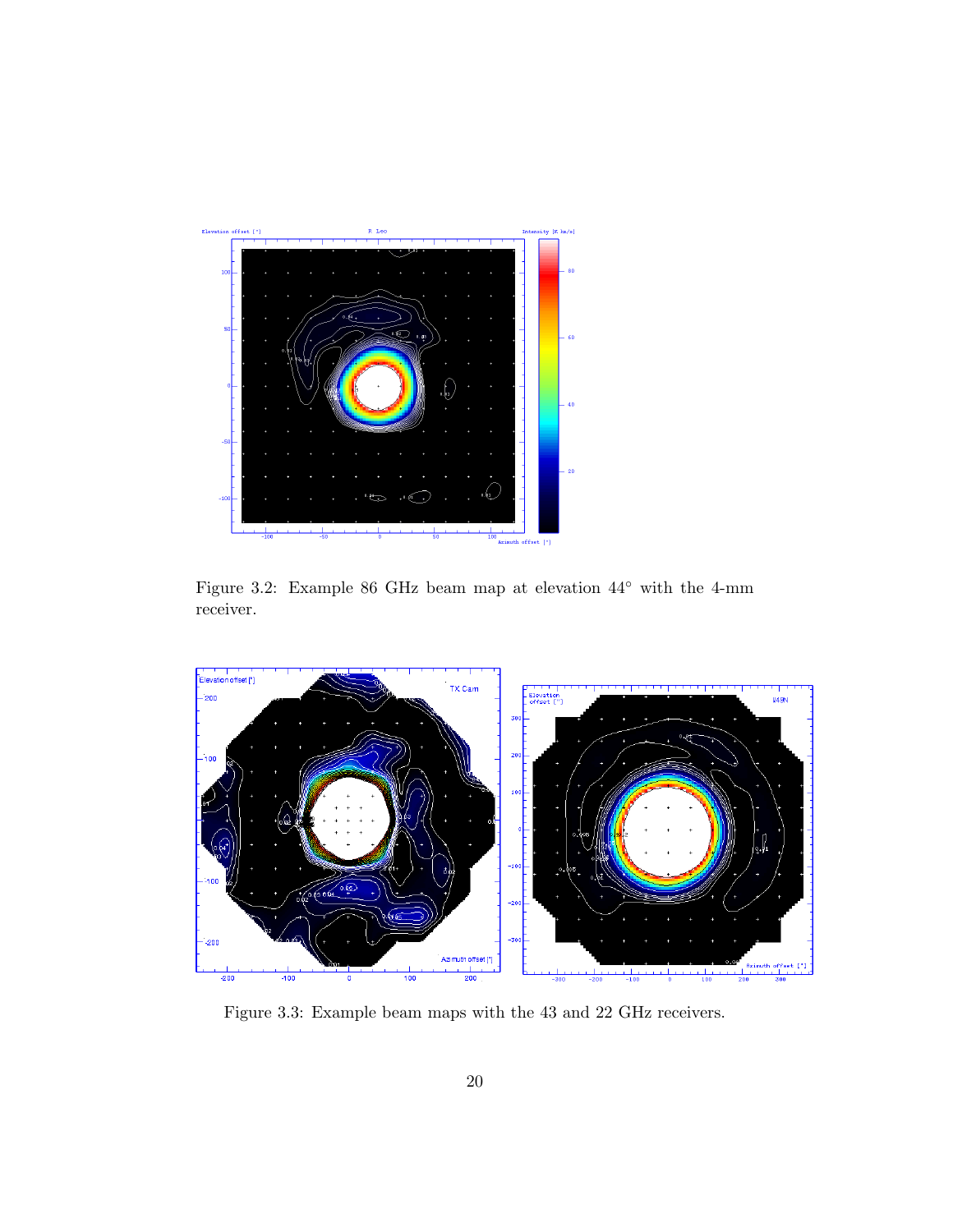

Figure 3.2: Example 86 GHz beam map at elevation 44◦ with the 4-mm receiver.



Figure 3.3: Example beam maps with the 43 and 22 GHz receivers.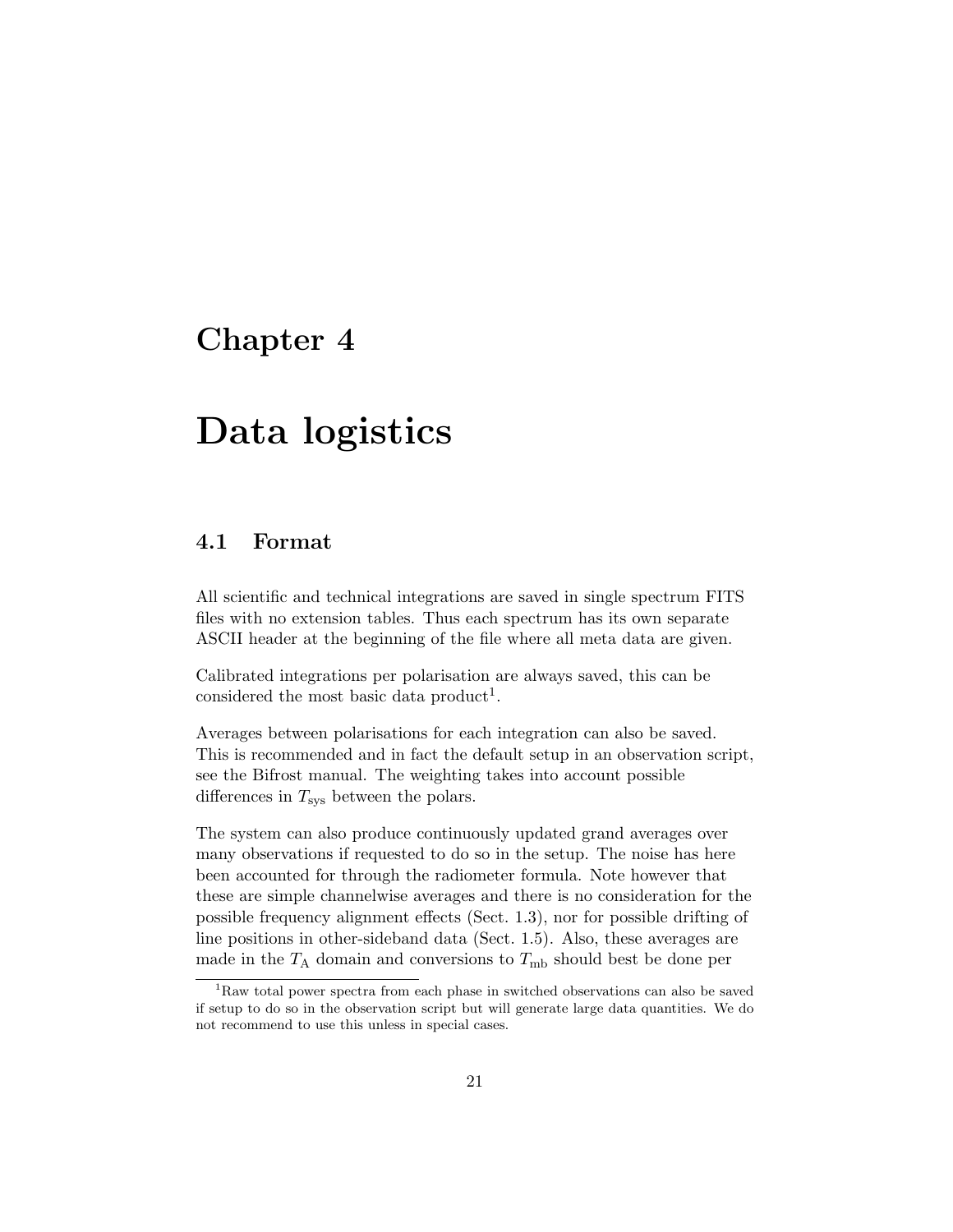### Chapter 4

# Data logistics

### 4.1 Format

All scientific and technical integrations are saved in single spectrum FITS files with no extension tables. Thus each spectrum has its own separate ASCII header at the beginning of the file where all meta data are given.

Calibrated integrations per polarisation are always saved, this can be considered the most basic data product<sup>1</sup>.

Averages between polarisations for each integration can also be saved. This is recommended and in fact the default setup in an observation script, see the Bifrost manual. The weighting takes into account possible differences in  $T_{\rm sys}$  between the polars.

The system can also produce continuously updated grand averages over many observations if requested to do so in the setup. The noise has here been accounted for through the radiometer formula. Note however that these are simple channelwise averages and there is no consideration for the possible frequency alignment effects (Sect. 1.3), nor for possible drifting of line positions in other-sideband data (Sect. 1.5). Also, these averages are made in the  $T_A$  domain and conversions to  $T_{mb}$  should best be done per

 $^1{\rm Raw}$  total power spectra from each phase in switched observations can also be saved if setup to do so in the observation script but will generate large data quantities. We do not recommend to use this unless in special cases.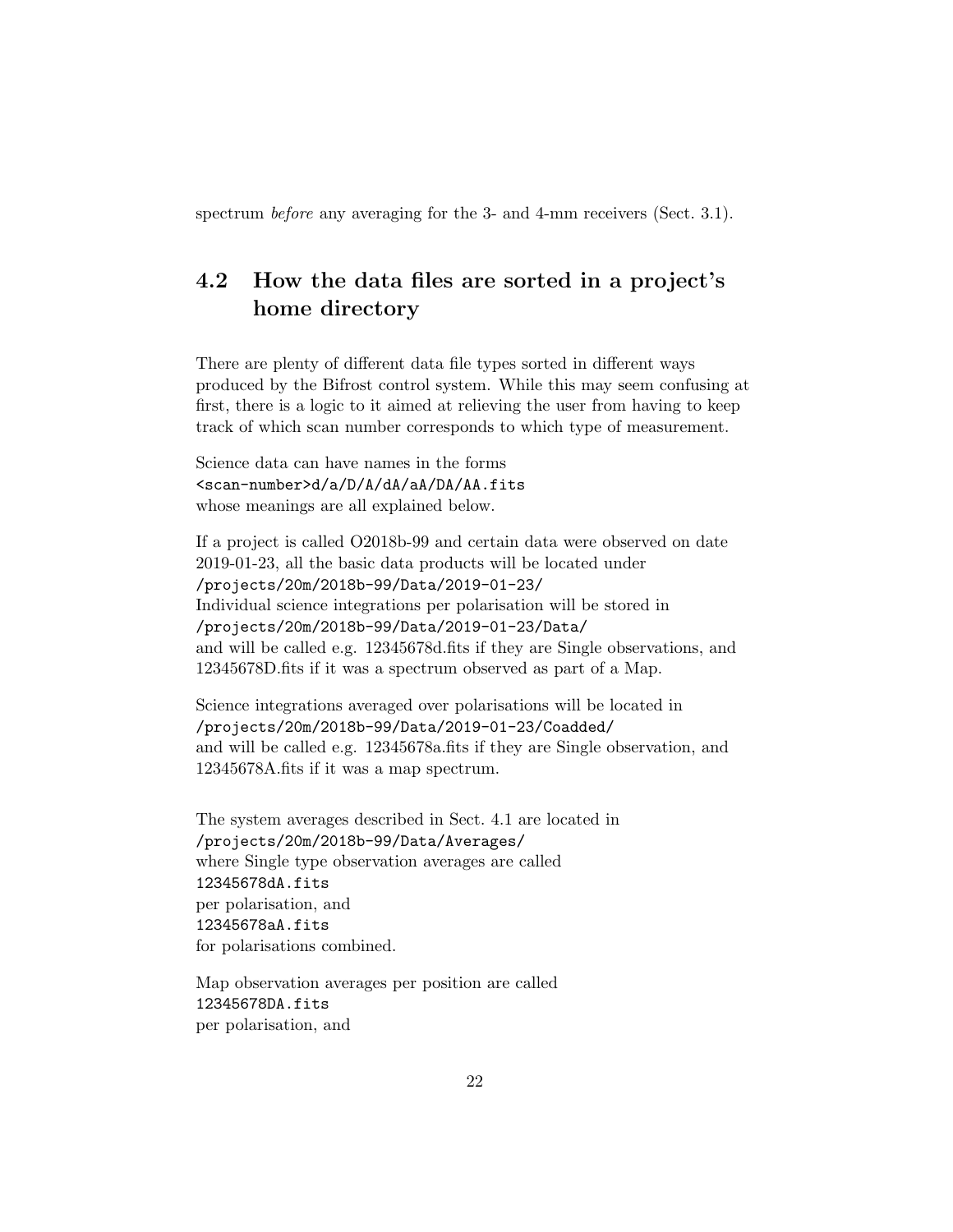spectrum *before* any averaging for the 3- and 4-mm receivers (Sect. 3.1).

### 4.2 How the data files are sorted in a project's home directory

There are plenty of different data file types sorted in different ways produced by the Bifrost control system. While this may seem confusing at first, there is a logic to it aimed at relieving the user from having to keep track of which scan number corresponds to which type of measurement.

Science data can have names in the forms <scan-number>d/a/D/A/dA/aA/DA/AA.fits whose meanings are all explained below.

If a project is called O2018b-99 and certain data were observed on date 2019-01-23, all the basic data products will be located under /projects/20m/2018b-99/Data/2019-01-23/ Individual science integrations per polarisation will be stored in /projects/20m/2018b-99/Data/2019-01-23/Data/ and will be called e.g. 12345678d.fits if they are Single observations, and 12345678D.fits if it was a spectrum observed as part of a Map.

Science integrations averaged over polarisations will be located in /projects/20m/2018b-99/Data/2019-01-23/Coadded/ and will be called e.g. 12345678a.fits if they are Single observation, and 12345678A.fits if it was a map spectrum.

The system averages described in Sect. 4.1 are located in /projects/20m/2018b-99/Data/Averages/ where Single type observation averages are called 12345678dA.fits per polarisation, and 12345678aA.fits for polarisations combined.

Map observation averages per position are called 12345678DA.fits per polarisation, and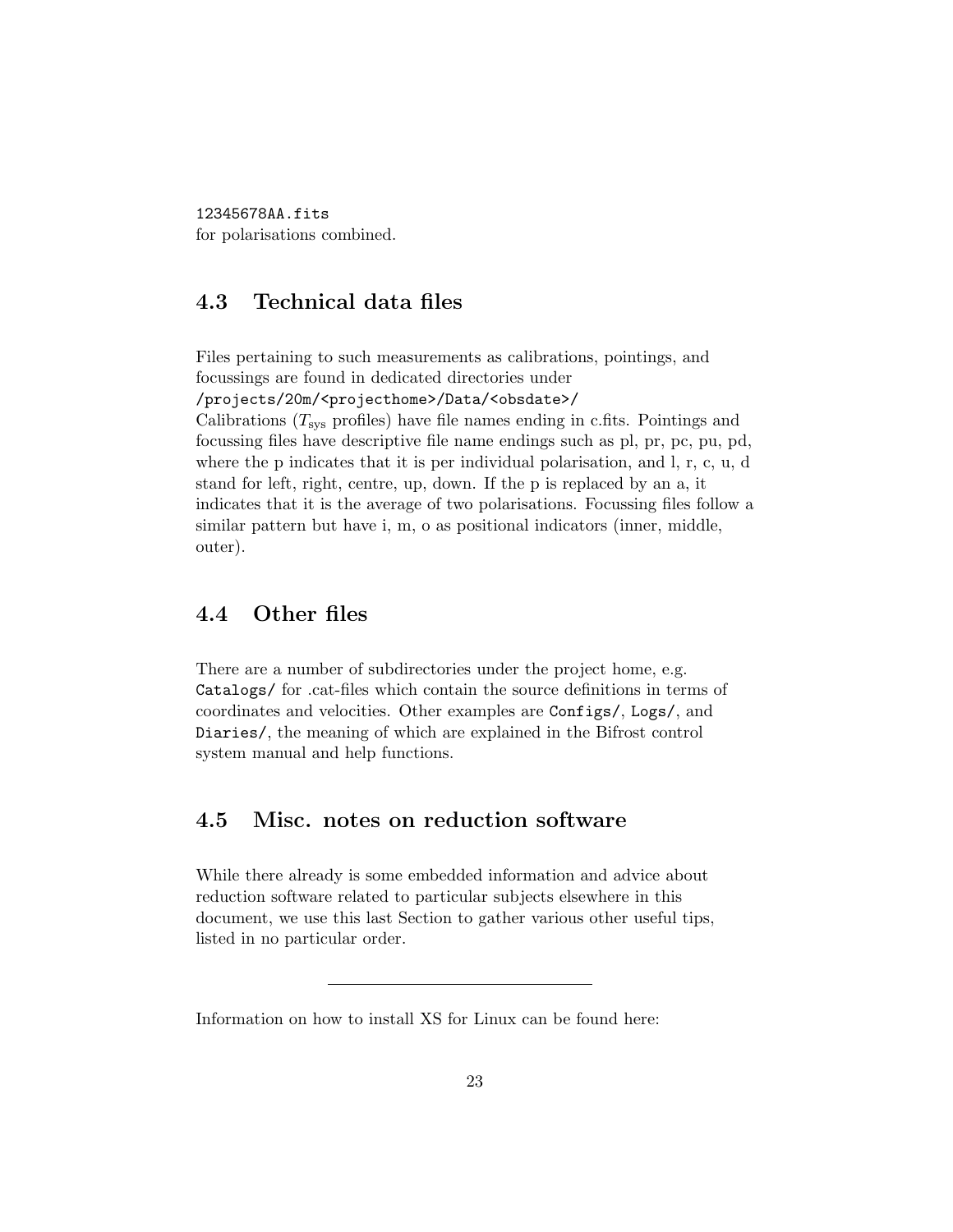12345678AA.fits for polarisations combined.

### 4.3 Technical data files

Files pertaining to such measurements as calibrations, pointings, and focussings are found in dedicated directories under

/projects/20m/<projecthome>/Data/<obsdate>/

Calibrations  $(T_{\text{sys}}$  profiles) have file names ending in c.fits. Pointings and focussing files have descriptive file name endings such as pl, pr, pc, pu, pd, where the p indicates that it is per individual polarisation, and l, r, c, u, d stand for left, right, centre, up, down. If the p is replaced by an a, it indicates that it is the average of two polarisations. Focussing files follow a similar pattern but have i, m, o as positional indicators (inner, middle, outer).

#### 4.4 Other files

There are a number of subdirectories under the project home, e.g. Catalogs/ for .cat-files which contain the source definitions in terms of coordinates and velocities. Other examples are Configs/, Logs/, and Diaries/, the meaning of which are explained in the Bifrost control system manual and help functions.

#### 4.5 Misc. notes on reduction software

While there already is some embedded information and advice about reduction software related to particular subjects elsewhere in this document, we use this last Section to gather various other useful tips, listed in no particular order.

Information on how to install XS for Linux can be found here: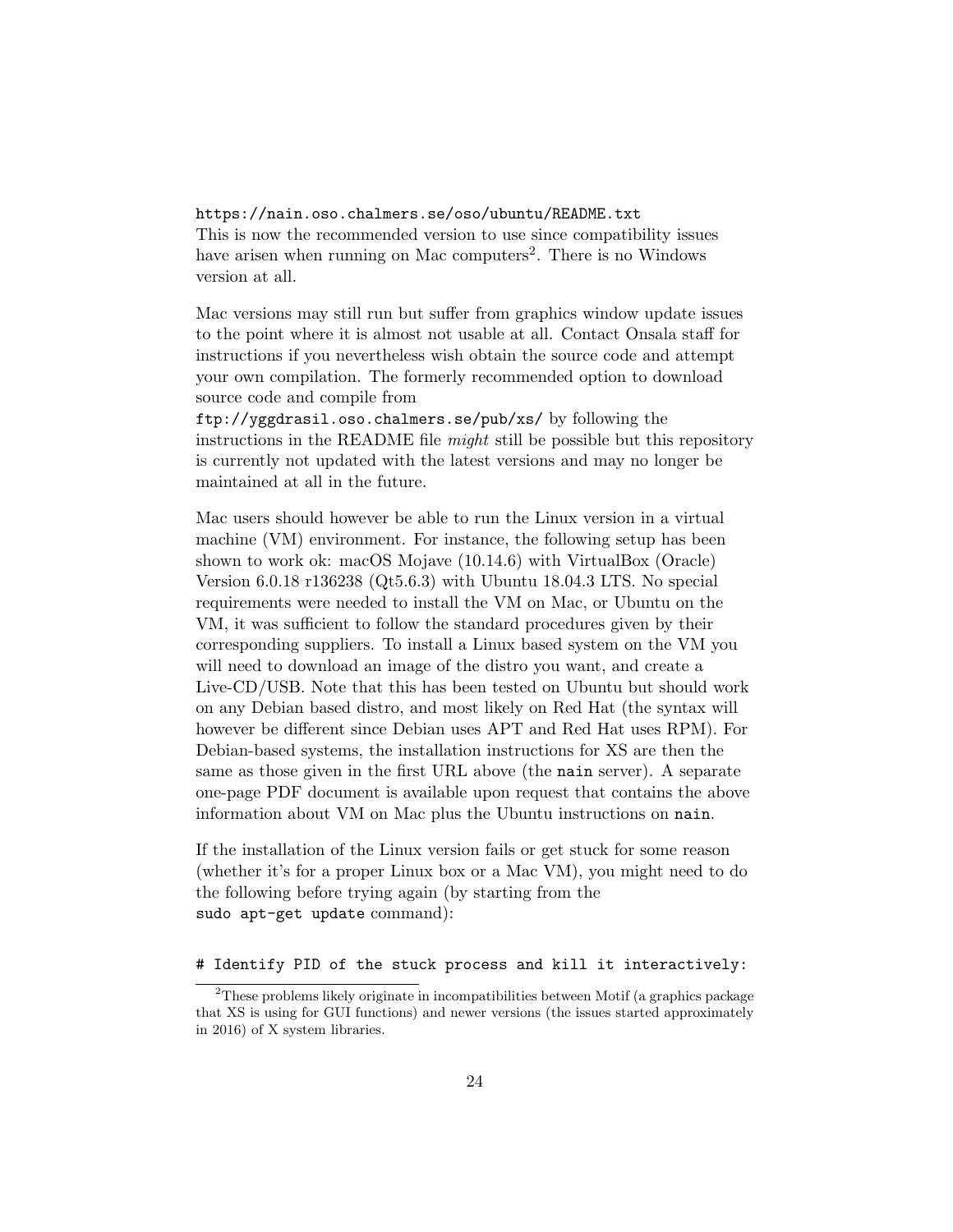https://nain.oso.chalmers.se/oso/ubuntu/README.txt This is now the recommended version to use since compatibility issues have arisen when running on Mac computers<sup>2</sup>. There is no Windows version at all.

Mac versions may still run but suffer from graphics window update issues to the point where it is almost not usable at all. Contact Onsala staff for instructions if you nevertheless wish obtain the source code and attempt your own compilation. The formerly recommended option to download source code and compile from

ftp://yggdrasil.oso.chalmers.se/pub/xs/ by following the instructions in the README file might still be possible but this repository is currently not updated with the latest versions and may no longer be maintained at all in the future.

Mac users should however be able to run the Linux version in a virtual machine (VM) environment. For instance, the following setup has been shown to work ok: macOS Mojave (10.14.6) with VirtualBox (Oracle) Version 6.0.18 r136238 (Qt5.6.3) with Ubuntu 18.04.3 LTS. No special requirements were needed to install the VM on Mac, or Ubuntu on the VM, it was sufficient to follow the standard procedures given by their corresponding suppliers. To install a Linux based system on the VM you will need to download an image of the distro you want, and create a Live-CD/USB. Note that this has been tested on Ubuntu but should work on any Debian based distro, and most likely on Red Hat (the syntax will however be different since Debian uses APT and Red Hat uses RPM). For Debian-based systems, the installation instructions for XS are then the same as those given in the first URL above (the nain server). A separate one-page PDF document is available upon request that contains the above information about VM on Mac plus the Ubuntu instructions on nain.

If the installation of the Linux version fails or get stuck for some reason (whether it's for a proper Linux box or a Mac VM), you might need to do the following before trying again (by starting from the sudo apt-get update command):

#### # Identify PID of the stuck process and kill it interactively:

 $2$ These problems likely originate in incompatibilities between Motif (a graphics package that XS is using for GUI functions) and newer versions (the issues started approximately in 2016) of X system libraries.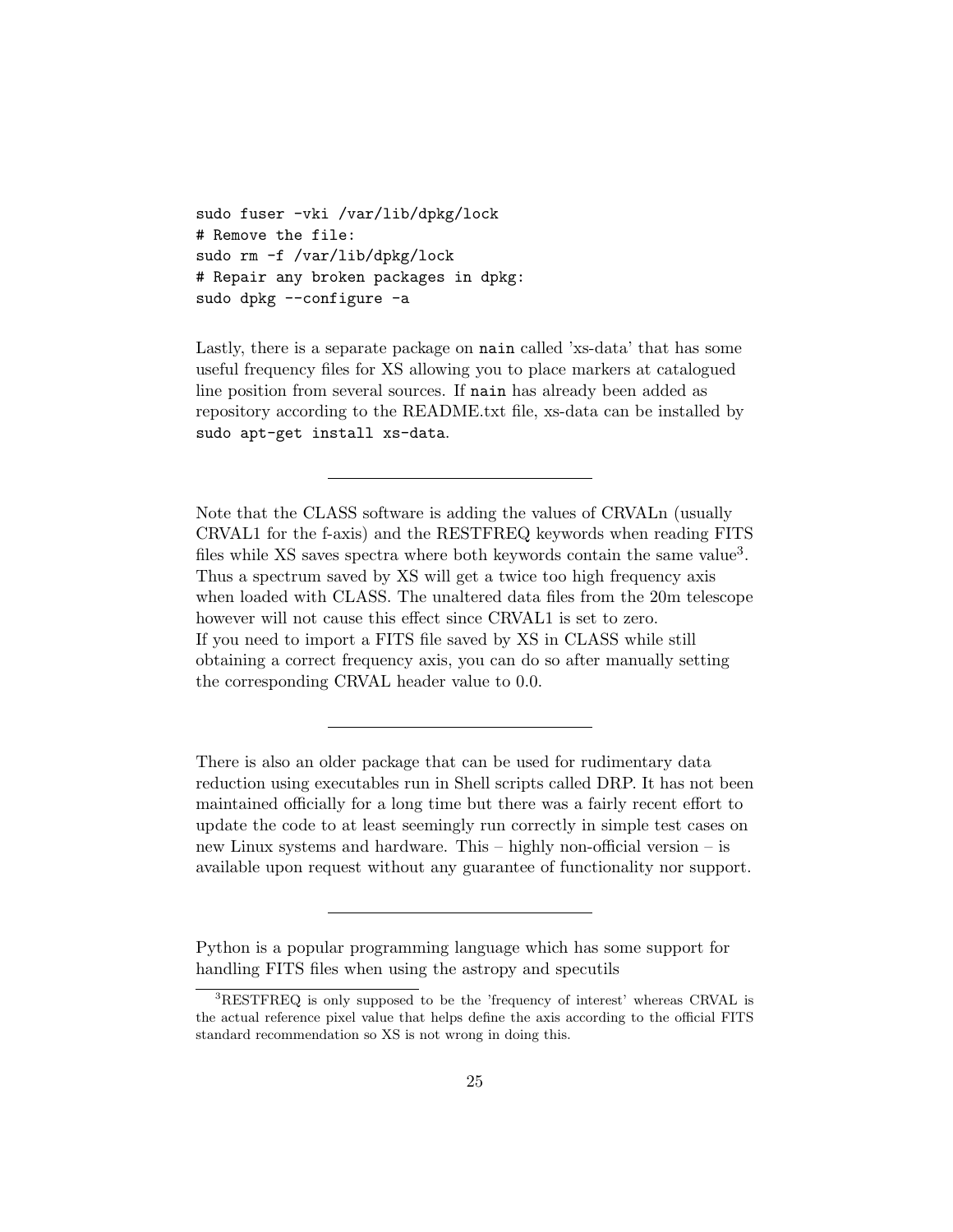```
sudo fuser -vki /var/lib/dpkg/lock
# Remove the file:
sudo rm -f /var/lib/dpkg/lock
# Repair any broken packages in dpkg:
sudo dpkg --configure -a
```
Lastly, there is a separate package on nain called 'xs-data' that has some useful frequency files for XS allowing you to place markers at catalogued line position from several sources. If nain has already been added as repository according to the README.txt file, xs-data can be installed by sudo apt-get install xs-data.

Note that the CLASS software is adding the values of CRVALn (usually CRVAL1 for the f-axis) and the RESTFREQ keywords when reading FITS files while XS saves spectra where both keywords contain the same value<sup>3</sup>. Thus a spectrum saved by XS will get a twice too high frequency axis when loaded with CLASS. The unaltered data files from the 20m telescope however will not cause this effect since CRVAL1 is set to zero. If you need to import a FITS file saved by XS in CLASS while still obtaining a correct frequency axis, you can do so after manually setting the corresponding CRVAL header value to 0.0.

There is also an older package that can be used for rudimentary data reduction using executables run in Shell scripts called DRP. It has not been maintained officially for a long time but there was a fairly recent effort to update the code to at least seemingly run correctly in simple test cases on new Linux systems and hardware. This – highly non-official version – is available upon request without any guarantee of functionality nor support.

Python is a popular programming language which has some support for handling FITS files when using the astropy and specutils

<sup>3</sup>RESTFREQ is only supposed to be the 'frequency of interest' whereas CRVAL is the actual reference pixel value that helps define the axis according to the official FITS standard recommendation so XS is not wrong in doing this.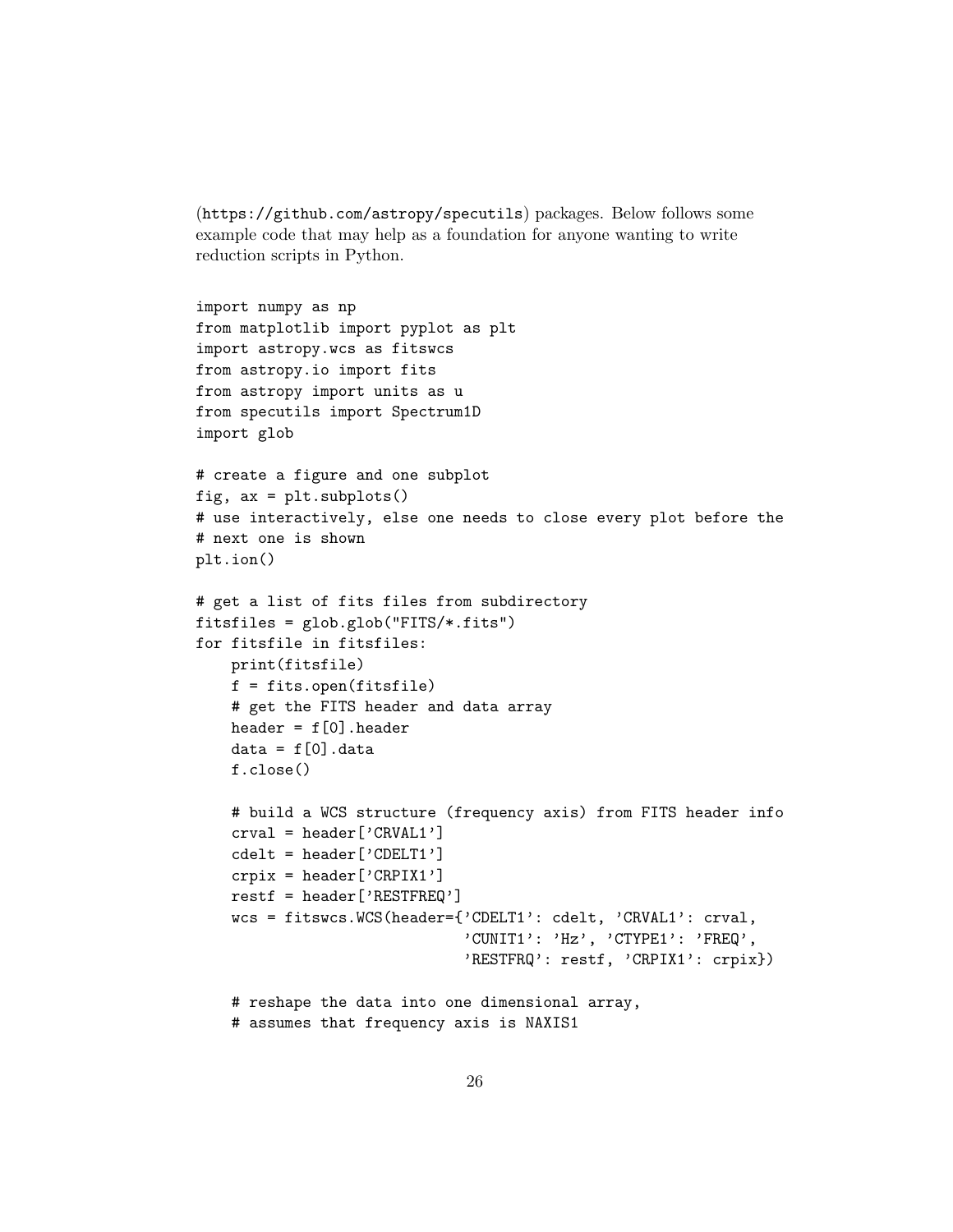```
(https://github.com/astropy/specutils) packages. Below follows some
example code that may help as a foundation for anyone wanting to write
reduction scripts in Python.
```

```
import numpy as np
from matplotlib import pyplot as plt
import astropy.wcs as fitswcs
from astropy.io import fits
from astropy import units as u
from specutils import Spectrum1D
import glob
# create a figure and one subplot
fig, ax = plt.subplots()
# use interactively, else one needs to close every plot before the
# next one is shown
plt.ion()
# get a list of fits files from subdirectory
fitsfiles = glob.glob("FITS/*.fits")
for fitsfile in fitsfiles:
    print(fitsfile)
    f = fits.open(fitsfile)
    # get the FITS header and data array
    header = f[0].header
    data = f[0]. data
    f.close()
    # build a WCS structure (frequency axis) from FITS header info
    crval = header['CRVAL1']
    cdelt = header['CDELT1']
    crpix = header['CRPIX1']restf = header['RESTFREQ']
    wcs = fitswcs.WCS(header={'CDELT1': cdelt, 'CRVAL1': crval,
                              'CUNIT1': 'Hz', 'CTYPE1': 'FREQ',
                              'RESTFRQ': restf, 'CRPIX1': crpix})
    # reshape the data into one dimensional array,
    # assumes that frequency axis is NAXIS1
```